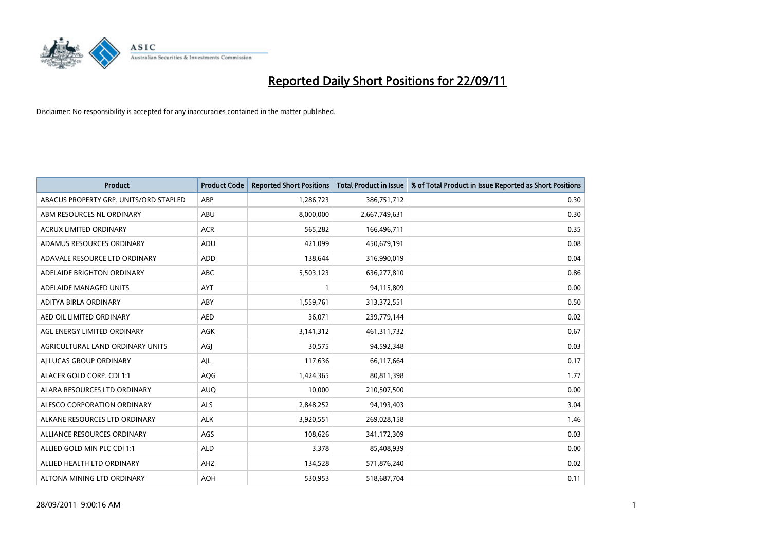

| <b>Product</b>                         | <b>Product Code</b> | <b>Reported Short Positions</b> | <b>Total Product in Issue</b> | % of Total Product in Issue Reported as Short Positions |
|----------------------------------------|---------------------|---------------------------------|-------------------------------|---------------------------------------------------------|
| ABACUS PROPERTY GRP. UNITS/ORD STAPLED | ABP                 | 1,286,723                       | 386,751,712                   | 0.30                                                    |
| ABM RESOURCES NL ORDINARY              | ABU                 | 8,000,000                       | 2,667,749,631                 | 0.30                                                    |
| <b>ACRUX LIMITED ORDINARY</b>          | <b>ACR</b>          | 565,282                         | 166,496,711                   | 0.35                                                    |
| ADAMUS RESOURCES ORDINARY              | ADU                 | 421,099                         | 450,679,191                   | 0.08                                                    |
| ADAVALE RESOURCE LTD ORDINARY          | ADD                 | 138,644                         | 316,990,019                   | 0.04                                                    |
| ADELAIDE BRIGHTON ORDINARY             | <b>ABC</b>          | 5,503,123                       | 636,277,810                   | 0.86                                                    |
| ADELAIDE MANAGED UNITS                 | <b>AYT</b>          |                                 | 94,115,809                    | 0.00                                                    |
| ADITYA BIRLA ORDINARY                  | ABY                 | 1,559,761                       | 313,372,551                   | 0.50                                                    |
| AED OIL LIMITED ORDINARY               | <b>AED</b>          | 36,071                          | 239,779,144                   | 0.02                                                    |
| AGL ENERGY LIMITED ORDINARY            | <b>AGK</b>          | 3,141,312                       | 461, 311, 732                 | 0.67                                                    |
| AGRICULTURAL LAND ORDINARY UNITS       | AGI                 | 30,575                          | 94,592,348                    | 0.03                                                    |
| AI LUCAS GROUP ORDINARY                | AJL                 | 117,636                         | 66,117,664                    | 0.17                                                    |
| ALACER GOLD CORP. CDI 1:1              | <b>AQG</b>          | 1,424,365                       | 80,811,398                    | 1.77                                                    |
| ALARA RESOURCES LTD ORDINARY           | <b>AUQ</b>          | 10,000                          | 210,507,500                   | 0.00                                                    |
| ALESCO CORPORATION ORDINARY            | <b>ALS</b>          | 2,848,252                       | 94,193,403                    | 3.04                                                    |
| ALKANE RESOURCES LTD ORDINARY          | <b>ALK</b>          | 3,920,551                       | 269,028,158                   | 1.46                                                    |
| ALLIANCE RESOURCES ORDINARY            | AGS                 | 108,626                         | 341,172,309                   | 0.03                                                    |
| ALLIED GOLD MIN PLC CDI 1:1            | <b>ALD</b>          | 3,378                           | 85,408,939                    | 0.00                                                    |
| ALLIED HEALTH LTD ORDINARY             | AHZ                 | 134,528                         | 571,876,240                   | 0.02                                                    |
| ALTONA MINING LTD ORDINARY             | <b>AOH</b>          | 530,953                         | 518,687,704                   | 0.11                                                    |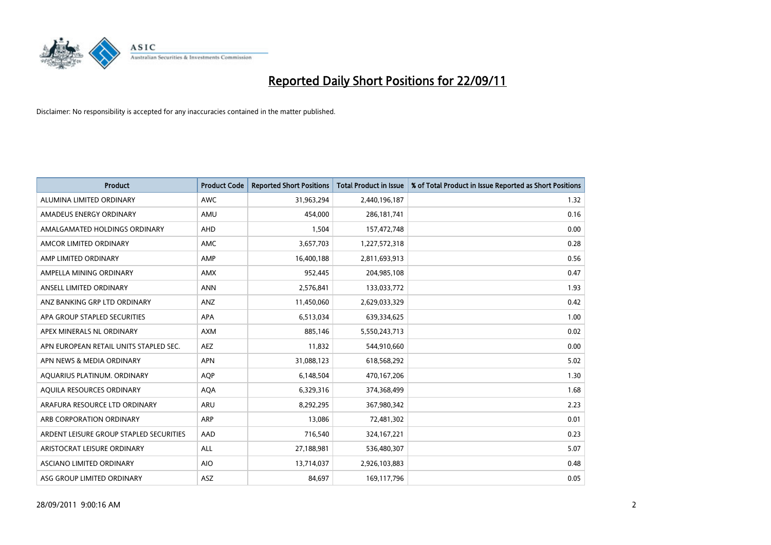

| <b>Product</b>                          | <b>Product Code</b> | <b>Reported Short Positions</b> | <b>Total Product in Issue</b> | % of Total Product in Issue Reported as Short Positions |
|-----------------------------------------|---------------------|---------------------------------|-------------------------------|---------------------------------------------------------|
| ALUMINA LIMITED ORDINARY                | <b>AWC</b>          | 31,963,294                      | 2,440,196,187                 | 1.32                                                    |
| AMADEUS ENERGY ORDINARY                 | AMU                 | 454,000                         | 286, 181, 741                 | 0.16                                                    |
| AMALGAMATED HOLDINGS ORDINARY           | <b>AHD</b>          | 1,504                           | 157,472,748                   | 0.00                                                    |
| AMCOR LIMITED ORDINARY                  | <b>AMC</b>          | 3,657,703                       | 1,227,572,318                 | 0.28                                                    |
| AMP LIMITED ORDINARY                    | AMP                 | 16,400,188                      | 2,811,693,913                 | 0.56                                                    |
| AMPELLA MINING ORDINARY                 | <b>AMX</b>          | 952,445                         | 204,985,108                   | 0.47                                                    |
| ANSELL LIMITED ORDINARY                 | <b>ANN</b>          | 2,576,841                       | 133,033,772                   | 1.93                                                    |
| ANZ BANKING GRP LTD ORDINARY            | ANZ                 | 11,450,060                      | 2,629,033,329                 | 0.42                                                    |
| APA GROUP STAPLED SECURITIES            | <b>APA</b>          | 6,513,034                       | 639,334,625                   | 1.00                                                    |
| APEX MINERALS NL ORDINARY               | <b>AXM</b>          | 885,146                         | 5,550,243,713                 | 0.02                                                    |
| APN EUROPEAN RETAIL UNITS STAPLED SEC.  | <b>AEZ</b>          | 11,832                          | 544,910,660                   | 0.00                                                    |
| APN NEWS & MEDIA ORDINARY               | <b>APN</b>          | 31,088,123                      | 618,568,292                   | 5.02                                                    |
| AQUARIUS PLATINUM. ORDINARY             | <b>AOP</b>          | 6,148,504                       | 470,167,206                   | 1.30                                                    |
| AQUILA RESOURCES ORDINARY               | <b>AQA</b>          | 6,329,316                       | 374,368,499                   | 1.68                                                    |
| ARAFURA RESOURCE LTD ORDINARY           | <b>ARU</b>          | 8,292,295                       | 367,980,342                   | 2.23                                                    |
| ARB CORPORATION ORDINARY                | <b>ARP</b>          | 13,086                          | 72,481,302                    | 0.01                                                    |
| ARDENT LEISURE GROUP STAPLED SECURITIES | AAD                 | 716,540                         | 324, 167, 221                 | 0.23                                                    |
| ARISTOCRAT LEISURE ORDINARY             | ALL                 | 27,188,981                      | 536,480,307                   | 5.07                                                    |
| <b>ASCIANO LIMITED ORDINARY</b>         | <b>AIO</b>          | 13,714,037                      | 2,926,103,883                 | 0.48                                                    |
| ASG GROUP LIMITED ORDINARY              | <b>ASZ</b>          | 84,697                          | 169,117,796                   | 0.05                                                    |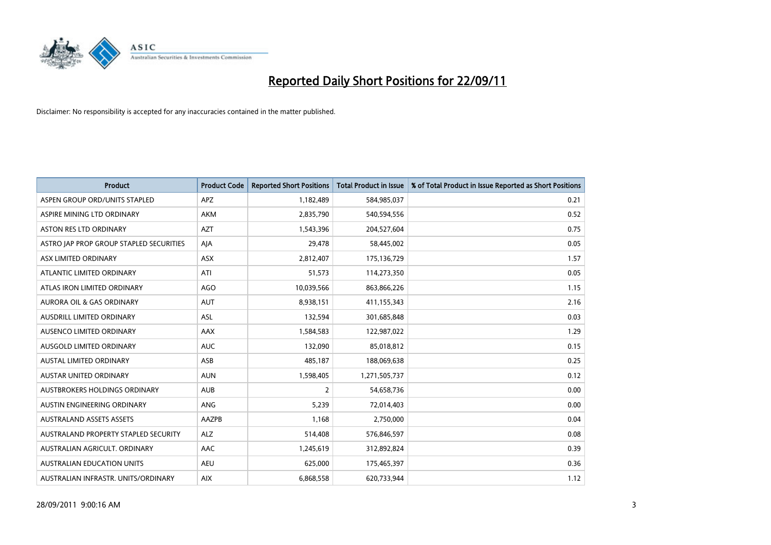

| <b>Product</b>                          | <b>Product Code</b> | <b>Reported Short Positions</b> | <b>Total Product in Issue</b> | % of Total Product in Issue Reported as Short Positions |
|-----------------------------------------|---------------------|---------------------------------|-------------------------------|---------------------------------------------------------|
| ASPEN GROUP ORD/UNITS STAPLED           | <b>APZ</b>          | 1,182,489                       | 584,985,037                   | 0.21                                                    |
| ASPIRE MINING LTD ORDINARY              | <b>AKM</b>          | 2,835,790                       | 540,594,556                   | 0.52                                                    |
| <b>ASTON RES LTD ORDINARY</b>           | <b>AZT</b>          | 1,543,396                       | 204,527,604                   | 0.75                                                    |
| ASTRO JAP PROP GROUP STAPLED SECURITIES | AIA                 | 29,478                          | 58,445,002                    | 0.05                                                    |
| <b>ASX LIMITED ORDINARY</b>             | <b>ASX</b>          | 2,812,407                       | 175,136,729                   | 1.57                                                    |
| ATLANTIC LIMITED ORDINARY               | ATI                 | 51,573                          | 114,273,350                   | 0.05                                                    |
| ATLAS IRON LIMITED ORDINARY             | <b>AGO</b>          | 10,039,566                      | 863,866,226                   | 1.15                                                    |
| AURORA OIL & GAS ORDINARY               | <b>AUT</b>          | 8,938,151                       | 411,155,343                   | 2.16                                                    |
| AUSDRILL LIMITED ORDINARY               | ASL                 | 132,594                         | 301,685,848                   | 0.03                                                    |
| AUSENCO LIMITED ORDINARY                | AAX                 | 1,584,583                       | 122,987,022                   | 1.29                                                    |
| AUSGOLD LIMITED ORDINARY                | <b>AUC</b>          | 132,090                         | 85,018,812                    | 0.15                                                    |
| <b>AUSTAL LIMITED ORDINARY</b>          | ASB                 | 485,187                         | 188,069,638                   | 0.25                                                    |
| AUSTAR UNITED ORDINARY                  | <b>AUN</b>          | 1,598,405                       | 1,271,505,737                 | 0.12                                                    |
| <b>AUSTBROKERS HOLDINGS ORDINARY</b>    | <b>AUB</b>          | 2                               | 54,658,736                    | 0.00                                                    |
| AUSTIN ENGINEERING ORDINARY             | ANG                 | 5,239                           | 72,014,403                    | 0.00                                                    |
| <b>AUSTRALAND ASSETS ASSETS</b>         | AAZPB               | 1,168                           | 2,750,000                     | 0.04                                                    |
| AUSTRALAND PROPERTY STAPLED SECURITY    | <b>ALZ</b>          | 514,408                         | 576,846,597                   | 0.08                                                    |
| AUSTRALIAN AGRICULT. ORDINARY           | AAC                 | 1,245,619                       | 312,892,824                   | 0.39                                                    |
| <b>AUSTRALIAN EDUCATION UNITS</b>       | <b>AEU</b>          | 625,000                         | 175,465,397                   | 0.36                                                    |
| AUSTRALIAN INFRASTR. UNITS/ORDINARY     | <b>AIX</b>          | 6,868,558                       | 620,733,944                   | 1.12                                                    |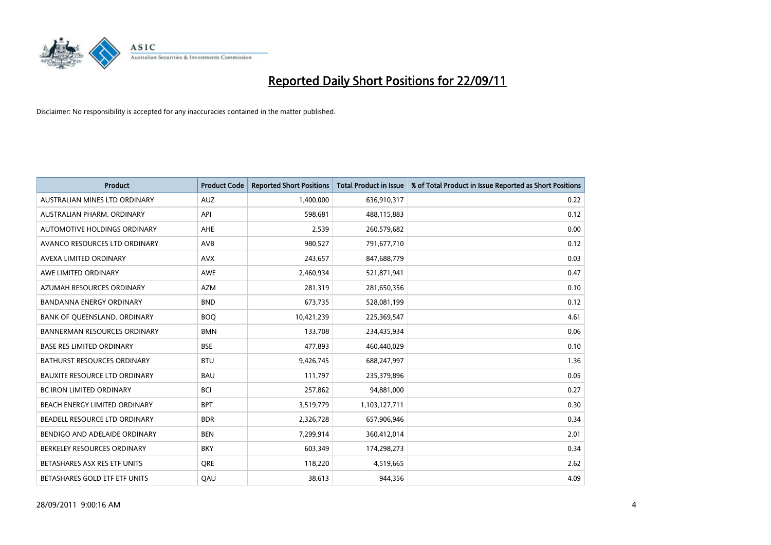

| <b>Product</b>                      | <b>Product Code</b> | <b>Reported Short Positions</b> | <b>Total Product in Issue</b> | % of Total Product in Issue Reported as Short Positions |
|-------------------------------------|---------------------|---------------------------------|-------------------------------|---------------------------------------------------------|
| AUSTRALIAN MINES LTD ORDINARY       | <b>AUZ</b>          | 1,400,000                       | 636,910,317                   | 0.22                                                    |
| AUSTRALIAN PHARM. ORDINARY          | API                 | 598,681                         | 488,115,883                   | 0.12                                                    |
| <b>AUTOMOTIVE HOLDINGS ORDINARY</b> | <b>AHE</b>          | 2,539                           | 260,579,682                   | 0.00                                                    |
| AVANCO RESOURCES LTD ORDINARY       | <b>AVB</b>          | 980,527                         | 791,677,710                   | 0.12                                                    |
| <b>AVEXA LIMITED ORDINARY</b>       | <b>AVX</b>          | 243,657                         | 847,688,779                   | 0.03                                                    |
| AWE LIMITED ORDINARY                | AWE                 | 2,460,934                       | 521,871,941                   | 0.47                                                    |
| AZUMAH RESOURCES ORDINARY           | <b>AZM</b>          | 281,319                         | 281,650,356                   | 0.10                                                    |
| BANDANNA ENERGY ORDINARY            | <b>BND</b>          | 673,735                         | 528,081,199                   | 0.12                                                    |
| BANK OF QUEENSLAND. ORDINARY        | <b>BOQ</b>          | 10,421,239                      | 225,369,547                   | 4.61                                                    |
| <b>BANNERMAN RESOURCES ORDINARY</b> | <b>BMN</b>          | 133,708                         | 234,435,934                   | 0.06                                                    |
| <b>BASE RES LIMITED ORDINARY</b>    | <b>BSE</b>          | 477,893                         | 460,440,029                   | 0.10                                                    |
| <b>BATHURST RESOURCES ORDINARY</b>  | <b>BTU</b>          | 9,426,745                       | 688,247,997                   | 1.36                                                    |
| BAUXITE RESOURCE LTD ORDINARY       | <b>BAU</b>          | 111,797                         | 235,379,896                   | 0.05                                                    |
| <b>BC IRON LIMITED ORDINARY</b>     | <b>BCI</b>          | 257,862                         | 94,881,000                    | 0.27                                                    |
| BEACH ENERGY LIMITED ORDINARY       | <b>BPT</b>          | 3,519,779                       | 1,103,127,711                 | 0.30                                                    |
| BEADELL RESOURCE LTD ORDINARY       | <b>BDR</b>          | 2,326,728                       | 657,906,946                   | 0.34                                                    |
| BENDIGO AND ADELAIDE ORDINARY       | <b>BEN</b>          | 7,299,914                       | 360,412,014                   | 2.01                                                    |
| BERKELEY RESOURCES ORDINARY         | <b>BKY</b>          | 603,349                         | 174,298,273                   | 0.34                                                    |
| BETASHARES ASX RES ETF UNITS        | <b>ORE</b>          | 118,220                         | 4,519,665                     | 2.62                                                    |
| BETASHARES GOLD ETF ETF UNITS       | QAU                 | 38,613                          | 944,356                       | 4.09                                                    |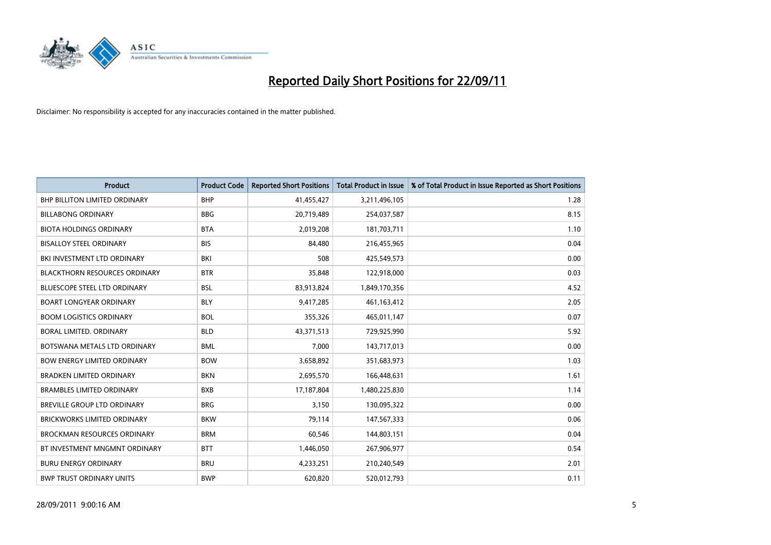

| <b>Product</b>                       | <b>Product Code</b> | <b>Reported Short Positions</b> | <b>Total Product in Issue</b> | % of Total Product in Issue Reported as Short Positions |
|--------------------------------------|---------------------|---------------------------------|-------------------------------|---------------------------------------------------------|
| <b>BHP BILLITON LIMITED ORDINARY</b> | <b>BHP</b>          | 41,455,427                      | 3,211,496,105                 | 1.28                                                    |
| <b>BILLABONG ORDINARY</b>            | <b>BBG</b>          | 20,719,489                      | 254,037,587                   | 8.15                                                    |
| <b>BIOTA HOLDINGS ORDINARY</b>       | <b>BTA</b>          | 2,019,208                       | 181,703,711                   | 1.10                                                    |
| <b>BISALLOY STEEL ORDINARY</b>       | <b>BIS</b>          | 84,480                          | 216,455,965                   | 0.04                                                    |
| BKI INVESTMENT LTD ORDINARY          | BKI                 | 508                             | 425,549,573                   | 0.00                                                    |
| <b>BLACKTHORN RESOURCES ORDINARY</b> | <b>BTR</b>          | 35,848                          | 122,918,000                   | 0.03                                                    |
| <b>BLUESCOPE STEEL LTD ORDINARY</b>  | <b>BSL</b>          | 83,913,824                      | 1,849,170,356                 | 4.52                                                    |
| <b>BOART LONGYEAR ORDINARY</b>       | <b>BLY</b>          | 9,417,285                       | 461,163,412                   | 2.05                                                    |
| <b>BOOM LOGISTICS ORDINARY</b>       | <b>BOL</b>          | 355,326                         | 465,011,147                   | 0.07                                                    |
| BORAL LIMITED, ORDINARY              | <b>BLD</b>          | 43,371,513                      | 729,925,990                   | 5.92                                                    |
| BOTSWANA METALS LTD ORDINARY         | <b>BML</b>          | 7,000                           | 143,717,013                   | 0.00                                                    |
| <b>BOW ENERGY LIMITED ORDINARY</b>   | <b>BOW</b>          | 3,658,892                       | 351,683,973                   | 1.03                                                    |
| <b>BRADKEN LIMITED ORDINARY</b>      | <b>BKN</b>          | 2,695,570                       | 166,448,631                   | 1.61                                                    |
| <b>BRAMBLES LIMITED ORDINARY</b>     | <b>BXB</b>          | 17,187,804                      | 1,480,225,830                 | 1.14                                                    |
| <b>BREVILLE GROUP LTD ORDINARY</b>   | <b>BRG</b>          | 3,150                           | 130,095,322                   | 0.00                                                    |
| BRICKWORKS LIMITED ORDINARY          | <b>BKW</b>          | 79,114                          | 147,567,333                   | 0.06                                                    |
| <b>BROCKMAN RESOURCES ORDINARY</b>   | <b>BRM</b>          | 60,546                          | 144,803,151                   | 0.04                                                    |
| BT INVESTMENT MNGMNT ORDINARY        | <b>BTT</b>          | 1,446,050                       | 267,906,977                   | 0.54                                                    |
| <b>BURU ENERGY ORDINARY</b>          | <b>BRU</b>          | 4,233,251                       | 210,240,549                   | 2.01                                                    |
| <b>BWP TRUST ORDINARY UNITS</b>      | <b>BWP</b>          | 620.820                         | 520,012,793                   | 0.11                                                    |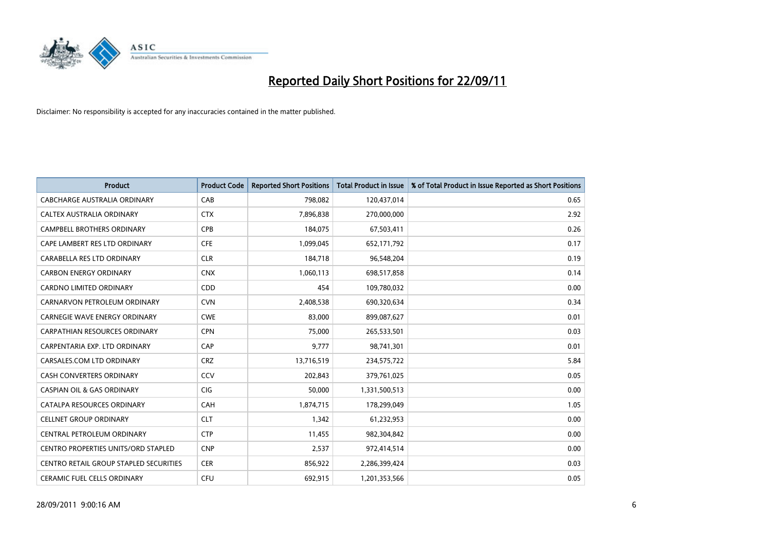

| <b>Product</b>                         | <b>Product Code</b> | <b>Reported Short Positions</b> | <b>Total Product in Issue</b> | % of Total Product in Issue Reported as Short Positions |
|----------------------------------------|---------------------|---------------------------------|-------------------------------|---------------------------------------------------------|
| CABCHARGE AUSTRALIA ORDINARY           | CAB                 | 798,082                         | 120,437,014                   | 0.65                                                    |
| CALTEX AUSTRALIA ORDINARY              | <b>CTX</b>          | 7,896,838                       | 270,000,000                   | 2.92                                                    |
| <b>CAMPBELL BROTHERS ORDINARY</b>      | <b>CPB</b>          | 184,075                         | 67,503,411                    | 0.26                                                    |
| CAPE LAMBERT RES LTD ORDINARY          | <b>CFE</b>          | 1,099,045                       | 652,171,792                   | 0.17                                                    |
| CARABELLA RES LTD ORDINARY             | <b>CLR</b>          | 184,718                         | 96,548,204                    | 0.19                                                    |
| <b>CARBON ENERGY ORDINARY</b>          | <b>CNX</b>          | 1,060,113                       | 698,517,858                   | 0.14                                                    |
| <b>CARDNO LIMITED ORDINARY</b>         | CDD                 | 454                             | 109,780,032                   | 0.00                                                    |
| CARNARVON PETROLEUM ORDINARY           | <b>CVN</b>          | 2,408,538                       | 690,320,634                   | 0.34                                                    |
| CARNEGIE WAVE ENERGY ORDINARY          | <b>CWE</b>          | 83,000                          | 899,087,627                   | 0.01                                                    |
| CARPATHIAN RESOURCES ORDINARY          | <b>CPN</b>          | 75,000                          | 265,533,501                   | 0.03                                                    |
| CARPENTARIA EXP. LTD ORDINARY          | CAP                 | 9,777                           | 98,741,301                    | 0.01                                                    |
| CARSALES.COM LTD ORDINARY              | <b>CRZ</b>          | 13,716,519                      | 234,575,722                   | 5.84                                                    |
| <b>CASH CONVERTERS ORDINARY</b>        | CCV                 | 202,843                         | 379,761,025                   | 0.05                                                    |
| <b>CASPIAN OIL &amp; GAS ORDINARY</b>  | <b>CIG</b>          | 50,000                          | 1,331,500,513                 | 0.00                                                    |
| CATALPA RESOURCES ORDINARY             | CAH                 | 1,874,715                       | 178,299,049                   | 1.05                                                    |
| <b>CELLNET GROUP ORDINARY</b>          | <b>CLT</b>          | 1,342                           | 61,232,953                    | 0.00                                                    |
| CENTRAL PETROLEUM ORDINARY             | <b>CTP</b>          | 11,455                          | 982,304,842                   | 0.00                                                    |
| CENTRO PROPERTIES UNITS/ORD STAPLED    | <b>CNP</b>          | 2,537                           | 972,414,514                   | 0.00                                                    |
| CENTRO RETAIL GROUP STAPLED SECURITIES | <b>CER</b>          | 856,922                         | 2,286,399,424                 | 0.03                                                    |
| CERAMIC FUEL CELLS ORDINARY            | CFU                 | 692,915                         | 1,201,353,566                 | 0.05                                                    |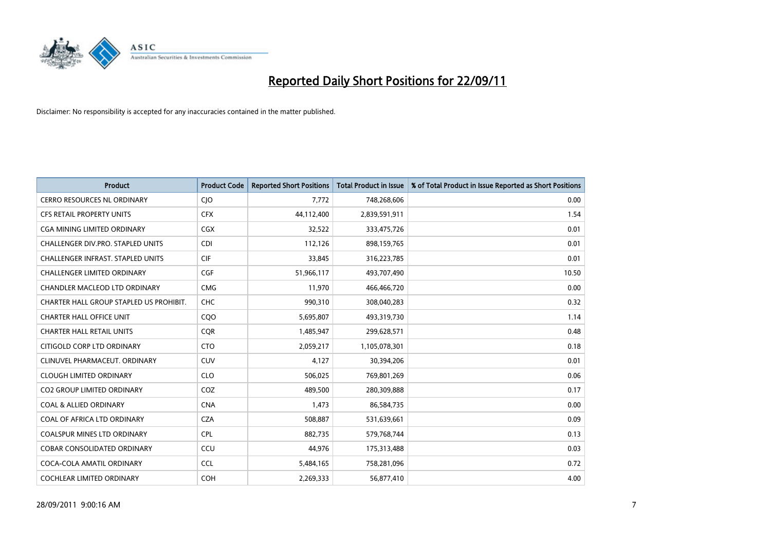

| <b>Product</b>                           | <b>Product Code</b> | <b>Reported Short Positions</b> | <b>Total Product in Issue</b> | % of Total Product in Issue Reported as Short Positions |
|------------------------------------------|---------------------|---------------------------------|-------------------------------|---------------------------------------------------------|
| <b>CERRO RESOURCES NL ORDINARY</b>       | <b>CIO</b>          | 7,772                           | 748,268,606                   | 0.00                                                    |
| CFS RETAIL PROPERTY UNITS                | <b>CFX</b>          | 44,112,400                      | 2,839,591,911                 | 1.54                                                    |
| <b>CGA MINING LIMITED ORDINARY</b>       | <b>CGX</b>          | 32,522                          | 333,475,726                   | 0.01                                                    |
| CHALLENGER DIV.PRO. STAPLED UNITS        | <b>CDI</b>          | 112,126                         | 898,159,765                   | 0.01                                                    |
| <b>CHALLENGER INFRAST, STAPLED UNITS</b> | <b>CIF</b>          | 33,845                          | 316,223,785                   | 0.01                                                    |
| <b>CHALLENGER LIMITED ORDINARY</b>       | <b>CGF</b>          | 51,966,117                      | 493,707,490                   | 10.50                                                   |
| <b>CHANDLER MACLEOD LTD ORDINARY</b>     | <b>CMG</b>          | 11,970                          | 466,466,720                   | 0.00                                                    |
| CHARTER HALL GROUP STAPLED US PROHIBIT.  | <b>CHC</b>          | 990,310                         | 308,040,283                   | 0.32                                                    |
| <b>CHARTER HALL OFFICE UNIT</b>          | COO                 | 5,695,807                       | 493,319,730                   | 1.14                                                    |
| <b>CHARTER HALL RETAIL UNITS</b>         | <b>COR</b>          | 1,485,947                       | 299,628,571                   | 0.48                                                    |
| CITIGOLD CORP LTD ORDINARY               | <b>CTO</b>          | 2,059,217                       | 1,105,078,301                 | 0.18                                                    |
| CLINUVEL PHARMACEUT, ORDINARY            | <b>CUV</b>          | 4,127                           | 30,394,206                    | 0.01                                                    |
| <b>CLOUGH LIMITED ORDINARY</b>           | <b>CLO</b>          | 506,025                         | 769,801,269                   | 0.06                                                    |
| <b>CO2 GROUP LIMITED ORDINARY</b>        | COZ                 | 489,500                         | 280,309,888                   | 0.17                                                    |
| <b>COAL &amp; ALLIED ORDINARY</b>        | <b>CNA</b>          | 1,473                           | 86,584,735                    | 0.00                                                    |
| COAL OF AFRICA LTD ORDINARY              | <b>CZA</b>          | 508,887                         | 531,639,661                   | 0.09                                                    |
| <b>COALSPUR MINES LTD ORDINARY</b>       | <b>CPL</b>          | 882,735                         | 579,768,744                   | 0.13                                                    |
| COBAR CONSOLIDATED ORDINARY              | CCU                 | 44,976                          | 175,313,488                   | 0.03                                                    |
| COCA-COLA AMATIL ORDINARY                | <b>CCL</b>          | 5,484,165                       | 758,281,096                   | 0.72                                                    |
| COCHLEAR LIMITED ORDINARY                | <b>COH</b>          | 2,269,333                       | 56,877,410                    | 4.00                                                    |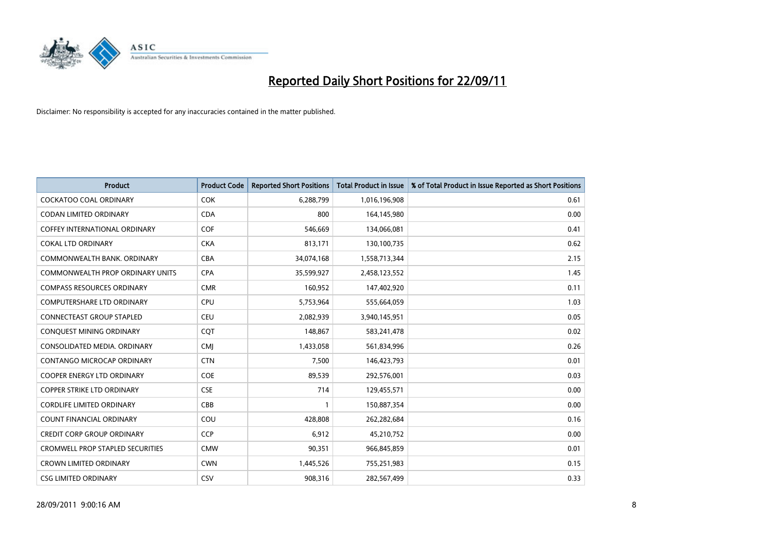

| <b>Product</b>                          | <b>Product Code</b> | <b>Reported Short Positions</b> | <b>Total Product in Issue</b> | % of Total Product in Issue Reported as Short Positions |
|-----------------------------------------|---------------------|---------------------------------|-------------------------------|---------------------------------------------------------|
| <b>COCKATOO COAL ORDINARY</b>           | <b>COK</b>          | 6,288,799                       | 1,016,196,908                 | 0.61                                                    |
| CODAN LIMITED ORDINARY                  | <b>CDA</b>          | 800                             | 164,145,980                   | 0.00                                                    |
| <b>COFFEY INTERNATIONAL ORDINARY</b>    | <b>COF</b>          | 546,669                         | 134,066,081                   | 0.41                                                    |
| <b>COKAL LTD ORDINARY</b>               | <b>CKA</b>          | 813,171                         | 130,100,735                   | 0.62                                                    |
| COMMONWEALTH BANK, ORDINARY             | <b>CBA</b>          | 34,074,168                      | 1,558,713,344                 | 2.15                                                    |
| <b>COMMONWEALTH PROP ORDINARY UNITS</b> | <b>CPA</b>          | 35,599,927                      | 2,458,123,552                 | 1.45                                                    |
| <b>COMPASS RESOURCES ORDINARY</b>       | <b>CMR</b>          | 160,952                         | 147,402,920                   | 0.11                                                    |
| <b>COMPUTERSHARE LTD ORDINARY</b>       | CPU                 | 5,753,964                       | 555,664,059                   | 1.03                                                    |
| CONNECTEAST GROUP STAPLED               | <b>CEU</b>          | 2,082,939                       | 3,940,145,951                 | 0.05                                                    |
| CONQUEST MINING ORDINARY                | COT                 | 148,867                         | 583,241,478                   | 0.02                                                    |
| CONSOLIDATED MEDIA, ORDINARY            | <b>CMI</b>          | 1,433,058                       | 561,834,996                   | 0.26                                                    |
| <b>CONTANGO MICROCAP ORDINARY</b>       | <b>CTN</b>          | 7,500                           | 146,423,793                   | 0.01                                                    |
| COOPER ENERGY LTD ORDINARY              | <b>COE</b>          | 89,539                          | 292,576,001                   | 0.03                                                    |
| <b>COPPER STRIKE LTD ORDINARY</b>       | <b>CSE</b>          | 714                             | 129,455,571                   | 0.00                                                    |
| <b>CORDLIFE LIMITED ORDINARY</b>        | CBB                 | $\mathbf{1}$                    | 150,887,354                   | 0.00                                                    |
| COUNT FINANCIAL ORDINARY                | COU                 | 428,808                         | 262,282,684                   | 0.16                                                    |
| <b>CREDIT CORP GROUP ORDINARY</b>       | <b>CCP</b>          | 6,912                           | 45,210,752                    | 0.00                                                    |
| CROMWELL PROP STAPLED SECURITIES        | <b>CMW</b>          | 90,351                          | 966,845,859                   | 0.01                                                    |
| <b>CROWN LIMITED ORDINARY</b>           | <b>CWN</b>          | 1,445,526                       | 755,251,983                   | 0.15                                                    |
| <b>CSG LIMITED ORDINARY</b>             | CSV                 | 908.316                         | 282,567,499                   | 0.33                                                    |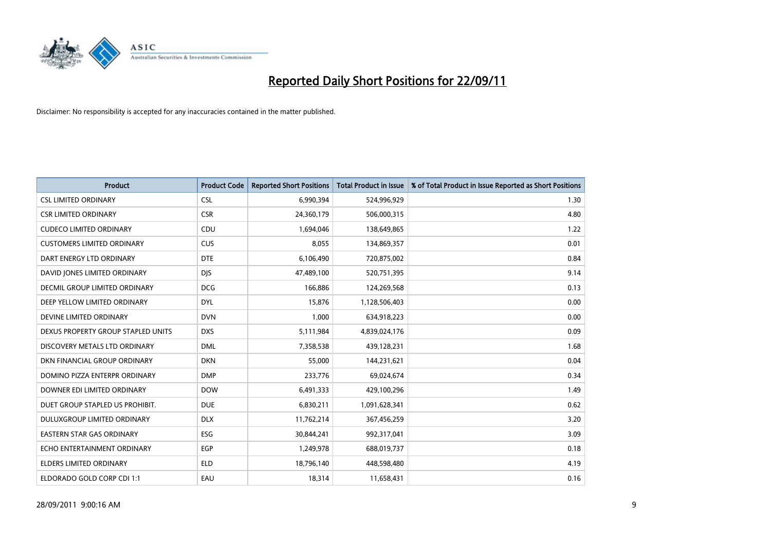

| <b>Product</b>                       | <b>Product Code</b> | <b>Reported Short Positions</b> | <b>Total Product in Issue</b> | % of Total Product in Issue Reported as Short Positions |
|--------------------------------------|---------------------|---------------------------------|-------------------------------|---------------------------------------------------------|
| <b>CSL LIMITED ORDINARY</b>          | <b>CSL</b>          | 6,990,394                       | 524,996,929                   | 1.30                                                    |
| <b>CSR LIMITED ORDINARY</b>          | <b>CSR</b>          | 24,360,179                      | 506,000,315                   | 4.80                                                    |
| <b>CUDECO LIMITED ORDINARY</b>       | <b>CDU</b>          | 1,694,046                       | 138,649,865                   | 1.22                                                    |
| <b>CUSTOMERS LIMITED ORDINARY</b>    | <b>CUS</b>          | 8,055                           | 134,869,357                   | 0.01                                                    |
| DART ENERGY LTD ORDINARY             | <b>DTE</b>          | 6,106,490                       | 720,875,002                   | 0.84                                                    |
| DAVID JONES LIMITED ORDINARY         | <b>DJS</b>          | 47,489,100                      | 520,751,395                   | 9.14                                                    |
| <b>DECMIL GROUP LIMITED ORDINARY</b> | <b>DCG</b>          | 166,886                         | 124,269,568                   | 0.13                                                    |
| DEEP YELLOW LIMITED ORDINARY         | <b>DYL</b>          | 15,876                          | 1,128,506,403                 | 0.00                                                    |
| DEVINE LIMITED ORDINARY              | <b>DVN</b>          | 1,000                           | 634,918,223                   | 0.00                                                    |
| DEXUS PROPERTY GROUP STAPLED UNITS   | <b>DXS</b>          | 5,111,984                       | 4,839,024,176                 | 0.09                                                    |
| DISCOVERY METALS LTD ORDINARY        | <b>DML</b>          | 7,358,538                       | 439,128,231                   | 1.68                                                    |
| DKN FINANCIAL GROUP ORDINARY         | <b>DKN</b>          | 55,000                          | 144,231,621                   | 0.04                                                    |
| DOMINO PIZZA ENTERPR ORDINARY        | <b>DMP</b>          | 233,776                         | 69,024,674                    | 0.34                                                    |
| DOWNER EDI LIMITED ORDINARY          | <b>DOW</b>          | 6,491,333                       | 429,100,296                   | 1.49                                                    |
| DUET GROUP STAPLED US PROHIBIT.      | <b>DUE</b>          | 6,830,211                       | 1,091,628,341                 | 0.62                                                    |
| DULUXGROUP LIMITED ORDINARY          | <b>DLX</b>          | 11,762,214                      | 367,456,259                   | 3.20                                                    |
| <b>EASTERN STAR GAS ORDINARY</b>     | ESG                 | 30,844,241                      | 992,317,041                   | 3.09                                                    |
| ECHO ENTERTAINMENT ORDINARY          | <b>EGP</b>          | 1,249,978                       | 688,019,737                   | 0.18                                                    |
| <b>ELDERS LIMITED ORDINARY</b>       | <b>ELD</b>          | 18,796,140                      | 448,598,480                   | 4.19                                                    |
| ELDORADO GOLD CORP CDI 1:1           | EAU                 | 18,314                          | 11,658,431                    | 0.16                                                    |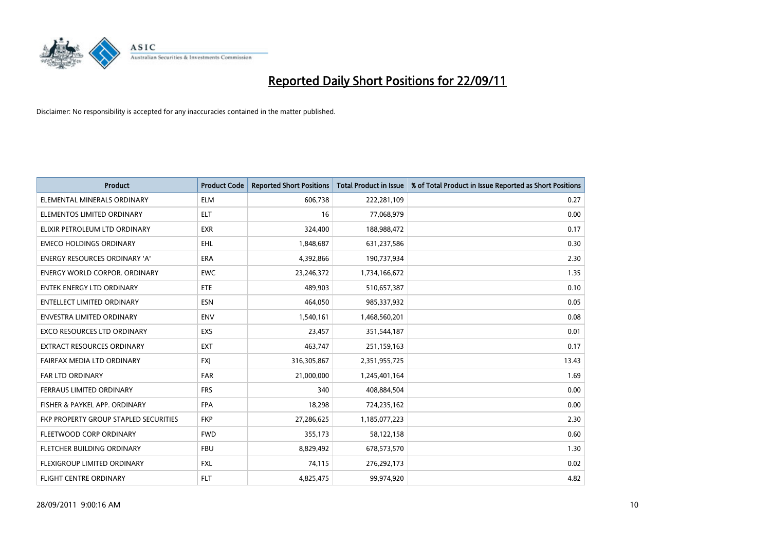

| <b>Product</b>                               | <b>Product Code</b> | <b>Reported Short Positions</b> | <b>Total Product in Issue</b> | % of Total Product in Issue Reported as Short Positions |
|----------------------------------------------|---------------------|---------------------------------|-------------------------------|---------------------------------------------------------|
| ELEMENTAL MINERALS ORDINARY                  | <b>ELM</b>          | 606,738                         | 222,281,109                   | 0.27                                                    |
| ELEMENTOS LIMITED ORDINARY                   | <b>ELT</b>          | 16                              | 77,068,979                    | 0.00                                                    |
| ELIXIR PETROLEUM LTD ORDINARY                | <b>EXR</b>          | 324,400                         | 188,988,472                   | 0.17                                                    |
| <b>EMECO HOLDINGS ORDINARY</b>               | <b>EHL</b>          | 1,848,687                       | 631,237,586                   | 0.30                                                    |
| <b>ENERGY RESOURCES ORDINARY 'A'</b>         | <b>ERA</b>          | 4,392,866                       | 190,737,934                   | 2.30                                                    |
| <b>ENERGY WORLD CORPOR, ORDINARY</b>         | <b>EWC</b>          | 23,246,372                      | 1,734,166,672                 | 1.35                                                    |
| ENTEK ENERGY LTD ORDINARY                    | ETE                 | 489,903                         | 510,657,387                   | 0.10                                                    |
| <b>ENTELLECT LIMITED ORDINARY</b>            | <b>ESN</b>          | 464,050                         | 985,337,932                   | 0.05                                                    |
| <b>ENVESTRA LIMITED ORDINARY</b>             | <b>ENV</b>          | 1,540,161                       | 1,468,560,201                 | 0.08                                                    |
| <b>EXCO RESOURCES LTD ORDINARY</b>           | <b>EXS</b>          | 23,457                          | 351,544,187                   | 0.01                                                    |
| <b>EXTRACT RESOURCES ORDINARY</b>            | <b>EXT</b>          | 463,747                         | 251,159,163                   | 0.17                                                    |
| FAIRFAX MEDIA LTD ORDINARY                   | <b>FXI</b>          | 316,305,867                     | 2,351,955,725                 | 13.43                                                   |
| <b>FAR LTD ORDINARY</b>                      | <b>FAR</b>          | 21,000,000                      | 1,245,401,164                 | 1.69                                                    |
| <b>FERRAUS LIMITED ORDINARY</b>              | <b>FRS</b>          | 340                             | 408,884,504                   | 0.00                                                    |
| FISHER & PAYKEL APP. ORDINARY                | <b>FPA</b>          | 18,298                          | 724,235,162                   | 0.00                                                    |
| <b>FKP PROPERTY GROUP STAPLED SECURITIES</b> | <b>FKP</b>          | 27,286,625                      | 1,185,077,223                 | 2.30                                                    |
| FLEETWOOD CORP ORDINARY                      | <b>FWD</b>          | 355,173                         | 58,122,158                    | 0.60                                                    |
| FLETCHER BUILDING ORDINARY                   | <b>FBU</b>          | 8,829,492                       | 678,573,570                   | 1.30                                                    |
| FLEXIGROUP LIMITED ORDINARY                  | <b>FXL</b>          | 74,115                          | 276,292,173                   | 0.02                                                    |
| FLIGHT CENTRE ORDINARY                       | <b>FLT</b>          | 4,825,475                       | 99,974,920                    | 4.82                                                    |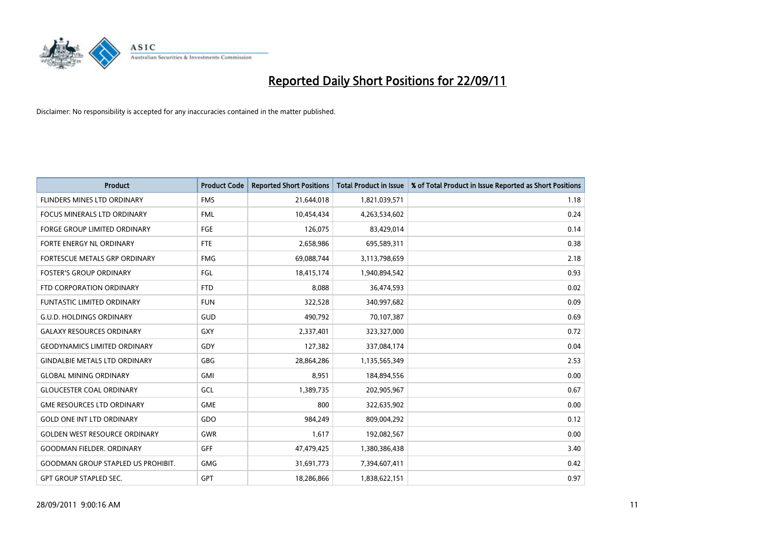

| <b>Product</b>                            | <b>Product Code</b> | <b>Reported Short Positions</b> | <b>Total Product in Issue</b> | % of Total Product in Issue Reported as Short Positions |
|-------------------------------------------|---------------------|---------------------------------|-------------------------------|---------------------------------------------------------|
| FLINDERS MINES LTD ORDINARY               | <b>FMS</b>          | 21,644,018                      | 1,821,039,571                 | 1.18                                                    |
| <b>FOCUS MINERALS LTD ORDINARY</b>        | <b>FML</b>          | 10,454,434                      | 4,263,534,602                 | 0.24                                                    |
| <b>FORGE GROUP LIMITED ORDINARY</b>       | FGE                 | 126,075                         | 83,429,014                    | 0.14                                                    |
| FORTE ENERGY NL ORDINARY                  | <b>FTE</b>          | 2,658,986                       | 695,589,311                   | 0.38                                                    |
| <b>FORTESCUE METALS GRP ORDINARY</b>      | <b>FMG</b>          | 69,088,744                      | 3,113,798,659                 | 2.18                                                    |
| <b>FOSTER'S GROUP ORDINARY</b>            | FGL                 | 18,415,174                      | 1,940,894,542                 | 0.93                                                    |
| FTD CORPORATION ORDINARY                  | <b>FTD</b>          | 8.088                           | 36,474,593                    | 0.02                                                    |
| <b>FUNTASTIC LIMITED ORDINARY</b>         | <b>FUN</b>          | 322,528                         | 340,997,682                   | 0.09                                                    |
| G.U.D. HOLDINGS ORDINARY                  | <b>GUD</b>          | 490,792                         | 70,107,387                    | 0.69                                                    |
| <b>GALAXY RESOURCES ORDINARY</b>          | GXY                 | 2,337,401                       | 323,327,000                   | 0.72                                                    |
| <b>GEODYNAMICS LIMITED ORDINARY</b>       | GDY                 | 127,382                         | 337,084,174                   | 0.04                                                    |
| <b>GINDALBIE METALS LTD ORDINARY</b>      | <b>GBG</b>          | 28,864,286                      | 1,135,565,349                 | 2.53                                                    |
| <b>GLOBAL MINING ORDINARY</b>             | <b>GMI</b>          | 8,951                           | 184,894,556                   | 0.00                                                    |
| <b>GLOUCESTER COAL ORDINARY</b>           | GCL                 | 1,389,735                       | 202,905,967                   | 0.67                                                    |
| <b>GME RESOURCES LTD ORDINARY</b>         | GME                 | 800                             | 322,635,902                   | 0.00                                                    |
| <b>GOLD ONE INT LTD ORDINARY</b>          | GDO                 | 984.249                         | 809,004,292                   | 0.12                                                    |
| <b>GOLDEN WEST RESOURCE ORDINARY</b>      | <b>GWR</b>          | 1,617                           | 192,082,567                   | 0.00                                                    |
| <b>GOODMAN FIELDER, ORDINARY</b>          | <b>GFF</b>          | 47,479,425                      | 1,380,386,438                 | 3.40                                                    |
| <b>GOODMAN GROUP STAPLED US PROHIBIT.</b> | <b>GMG</b>          | 31,691,773                      | 7,394,607,411                 | 0.42                                                    |
| <b>GPT GROUP STAPLED SEC.</b>             | GPT                 | 18,286,866                      | 1,838,622,151                 | 0.97                                                    |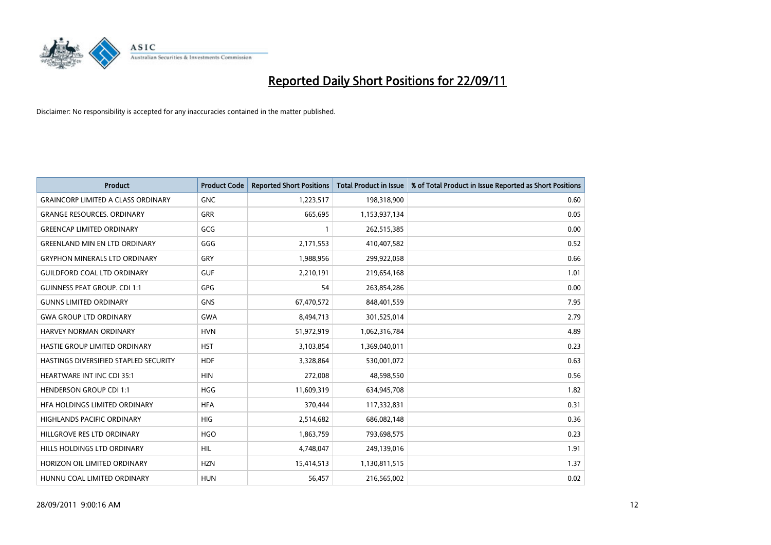

| <b>Product</b>                            | <b>Product Code</b> | <b>Reported Short Positions</b> | <b>Total Product in Issue</b> | % of Total Product in Issue Reported as Short Positions |
|-------------------------------------------|---------------------|---------------------------------|-------------------------------|---------------------------------------------------------|
| <b>GRAINCORP LIMITED A CLASS ORDINARY</b> | <b>GNC</b>          | 1,223,517                       | 198,318,900                   | 0.60                                                    |
| <b>GRANGE RESOURCES. ORDINARY</b>         | <b>GRR</b>          | 665,695                         | 1,153,937,134                 | 0.05                                                    |
| <b>GREENCAP LIMITED ORDINARY</b>          | GCG                 |                                 | 262,515,385                   | 0.00                                                    |
| <b>GREENLAND MIN EN LTD ORDINARY</b>      | GGG                 | 2,171,553                       | 410,407,582                   | 0.52                                                    |
| <b>GRYPHON MINERALS LTD ORDINARY</b>      | GRY                 | 1,988,956                       | 299,922,058                   | 0.66                                                    |
| <b>GUILDFORD COAL LTD ORDINARY</b>        | <b>GUF</b>          | 2,210,191                       | 219,654,168                   | 1.01                                                    |
| <b>GUINNESS PEAT GROUP. CDI 1:1</b>       | GPG                 | 54                              | 263,854,286                   | 0.00                                                    |
| <b>GUNNS LIMITED ORDINARY</b>             | <b>GNS</b>          | 67,470,572                      | 848,401,559                   | 7.95                                                    |
| <b>GWA GROUP LTD ORDINARY</b>             | <b>GWA</b>          | 8,494,713                       | 301,525,014                   | 2.79                                                    |
| <b>HARVEY NORMAN ORDINARY</b>             | <b>HVN</b>          | 51,972,919                      | 1,062,316,784                 | 4.89                                                    |
| HASTIE GROUP LIMITED ORDINARY             | <b>HST</b>          | 3,103,854                       | 1,369,040,011                 | 0.23                                                    |
| HASTINGS DIVERSIFIED STAPLED SECURITY     | <b>HDF</b>          | 3,328,864                       | 530,001,072                   | 0.63                                                    |
| HEARTWARE INT INC CDI 35:1                | <b>HIN</b>          | 272,008                         | 48,598,550                    | 0.56                                                    |
| <b>HENDERSON GROUP CDI 1:1</b>            | <b>HGG</b>          | 11,609,319                      | 634,945,708                   | 1.82                                                    |
| HFA HOLDINGS LIMITED ORDINARY             | <b>HFA</b>          | 370,444                         | 117,332,831                   | 0.31                                                    |
| HIGHLANDS PACIFIC ORDINARY                | <b>HIG</b>          | 2,514,682                       | 686,082,148                   | 0.36                                                    |
| HILLGROVE RES LTD ORDINARY                | <b>HGO</b>          | 1,863,759                       | 793,698,575                   | 0.23                                                    |
| HILLS HOLDINGS LTD ORDINARY               | <b>HIL</b>          | 4,748,047                       | 249,139,016                   | 1.91                                                    |
| HORIZON OIL LIMITED ORDINARY              | <b>HZN</b>          | 15,414,513                      | 1,130,811,515                 | 1.37                                                    |
| HUNNU COAL LIMITED ORDINARY               | <b>HUN</b>          | 56,457                          | 216,565,002                   | 0.02                                                    |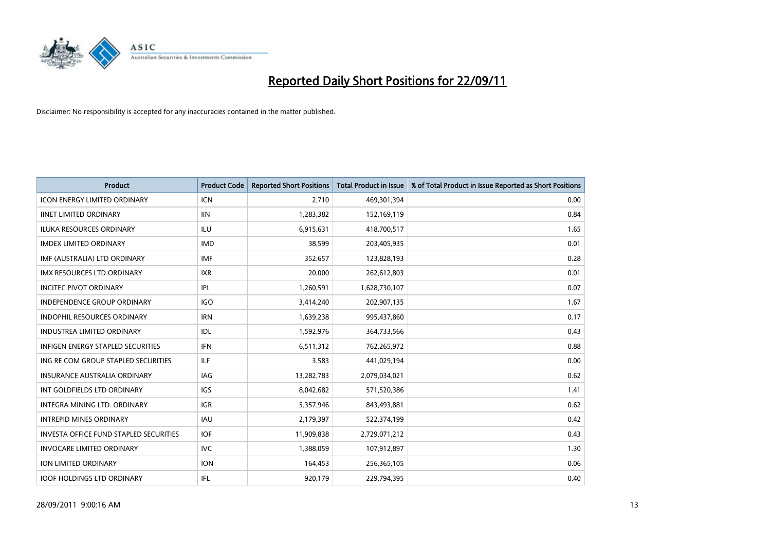

| <b>Product</b>                                | <b>Product Code</b> | <b>Reported Short Positions</b> | <b>Total Product in Issue</b> | % of Total Product in Issue Reported as Short Positions |
|-----------------------------------------------|---------------------|---------------------------------|-------------------------------|---------------------------------------------------------|
| <b>ICON ENERGY LIMITED ORDINARY</b>           | <b>ICN</b>          | 2,710                           | 469,301,394                   | 0.00                                                    |
| <b>IINET LIMITED ORDINARY</b>                 | <b>IIN</b>          | 1,283,382                       | 152,169,119                   | 0.84                                                    |
| <b>ILUKA RESOURCES ORDINARY</b>               | ILU                 | 6,915,631                       | 418,700,517                   | 1.65                                                    |
| <b>IMDEX LIMITED ORDINARY</b>                 | <b>IMD</b>          | 38,599                          | 203,405,935                   | 0.01                                                    |
| IMF (AUSTRALIA) LTD ORDINARY                  | <b>IMF</b>          | 352.657                         | 123,828,193                   | 0.28                                                    |
| <b>IMX RESOURCES LTD ORDINARY</b>             | <b>IXR</b>          | 20,000                          | 262,612,803                   | 0.01                                                    |
| <b>INCITEC PIVOT ORDINARY</b>                 | <b>IPL</b>          | 1,260,591                       | 1,628,730,107                 | 0.07                                                    |
| <b>INDEPENDENCE GROUP ORDINARY</b>            | <b>IGO</b>          | 3,414,240                       | 202,907,135                   | 1.67                                                    |
| INDOPHIL RESOURCES ORDINARY                   | <b>IRN</b>          | 1,639,238                       | 995,437,860                   | 0.17                                                    |
| <b>INDUSTREA LIMITED ORDINARY</b>             | <b>IDL</b>          | 1,592,976                       | 364,733,566                   | 0.43                                                    |
| <b>INFIGEN ENERGY STAPLED SECURITIES</b>      | <b>IFN</b>          | 6,511,312                       | 762,265,972                   | 0.88                                                    |
| ING RE COM GROUP STAPLED SECURITIES           | ILF.                | 3,583                           | 441,029,194                   | 0.00                                                    |
| <b>INSURANCE AUSTRALIA ORDINARY</b>           | IAG                 | 13,282,783                      | 2,079,034,021                 | 0.62                                                    |
| INT GOLDFIELDS LTD ORDINARY                   | <b>IGS</b>          | 8,042,682                       | 571,520,386                   | 1.41                                                    |
| <b>INTEGRA MINING LTD, ORDINARY</b>           | <b>IGR</b>          | 5,357,946                       | 843,493,881                   | 0.62                                                    |
| <b>INTREPID MINES ORDINARY</b>                | <b>IAU</b>          | 2,179,397                       | 522,374,199                   | 0.42                                                    |
| <b>INVESTA OFFICE FUND STAPLED SECURITIES</b> | <b>IOF</b>          | 11,909,838                      | 2,729,071,212                 | 0.43                                                    |
| <b>INVOCARE LIMITED ORDINARY</b>              | <b>IVC</b>          | 1,388,059                       | 107,912,897                   | 1.30                                                    |
| ION LIMITED ORDINARY                          | <b>ION</b>          | 164,453                         | 256,365,105                   | 0.06                                                    |
| <b>IOOF HOLDINGS LTD ORDINARY</b>             | IFL.                | 920.179                         | 229.794.395                   | 0.40                                                    |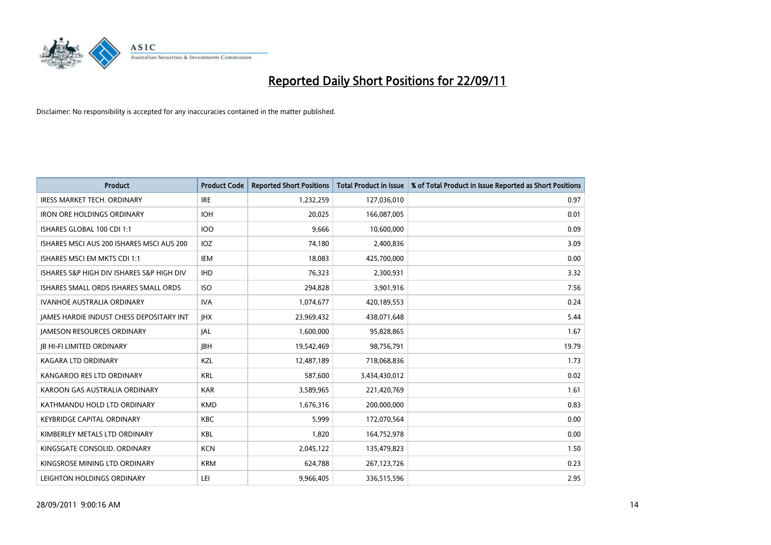

| <b>Product</b>                                  | <b>Product Code</b> | <b>Reported Short Positions</b> | <b>Total Product in Issue</b> | % of Total Product in Issue Reported as Short Positions |
|-------------------------------------------------|---------------------|---------------------------------|-------------------------------|---------------------------------------------------------|
| <b>IRESS MARKET TECH. ORDINARY</b>              | <b>IRE</b>          | 1,232,259                       | 127,036,010                   | 0.97                                                    |
| <b>IRON ORE HOLDINGS ORDINARY</b>               | <b>IOH</b>          | 20,025                          | 166,087,005                   | 0.01                                                    |
| ISHARES GLOBAL 100 CDI 1:1                      | 100                 | 9.666                           | 10,600,000                    | 0.09                                                    |
| ISHARES MSCI AUS 200 ISHARES MSCI AUS 200       | <b>IOZ</b>          | 74,180                          | 2,400,836                     | 3.09                                                    |
| ISHARES MSCI EM MKTS CDI 1:1                    | <b>IEM</b>          | 18,083                          | 425,700,000                   | 0.00                                                    |
| ISHARES S&P HIGH DIV ISHARES S&P HIGH DIV       | <b>IHD</b>          | 76,323                          | 2,300,931                     | 3.32                                                    |
| ISHARES SMALL ORDS ISHARES SMALL ORDS           | <b>ISO</b>          | 294,828                         | 3,901,916                     | 7.56                                                    |
| <b>IVANHOE AUSTRALIA ORDINARY</b>               | <b>IVA</b>          | 1,074,677                       | 420,189,553                   | 0.24                                                    |
| <b>JAMES HARDIE INDUST CHESS DEPOSITARY INT</b> | <b>IHX</b>          | 23,969,432                      | 438,071,648                   | 5.44                                                    |
| <b>JAMESON RESOURCES ORDINARY</b>               | <b>JAL</b>          | 1,600,000                       | 95,828,865                    | 1.67                                                    |
| <b>JB HI-FI LIMITED ORDINARY</b>                | <b>IBH</b>          | 19,542,469                      | 98,756,791                    | 19.79                                                   |
| <b>KAGARA LTD ORDINARY</b>                      | <b>KZL</b>          | 12,487,189                      | 718,068,836                   | 1.73                                                    |
| KANGAROO RES LTD ORDINARY                       | <b>KRL</b>          | 587,600                         | 3,434,430,012                 | 0.02                                                    |
| KAROON GAS AUSTRALIA ORDINARY                   | <b>KAR</b>          | 3,589,965                       | 221,420,769                   | 1.61                                                    |
| KATHMANDU HOLD LTD ORDINARY                     | <b>KMD</b>          | 1,676,316                       | 200,000,000                   | 0.83                                                    |
| <b>KEYBRIDGE CAPITAL ORDINARY</b>               | <b>KBC</b>          | 5,999                           | 172,070,564                   | 0.00                                                    |
| KIMBERLEY METALS LTD ORDINARY                   | <b>KBL</b>          | 1,820                           | 164,752,978                   | 0.00                                                    |
| KINGSGATE CONSOLID. ORDINARY                    | <b>KCN</b>          | 2,045,122                       | 135,479,823                   | 1.50                                                    |
| KINGSROSE MINING LTD ORDINARY                   | <b>KRM</b>          | 624,788                         | 267,123,726                   | 0.23                                                    |
| LEIGHTON HOLDINGS ORDINARY                      | LEI                 | 9,966,405                       | 336,515,596                   | 2.95                                                    |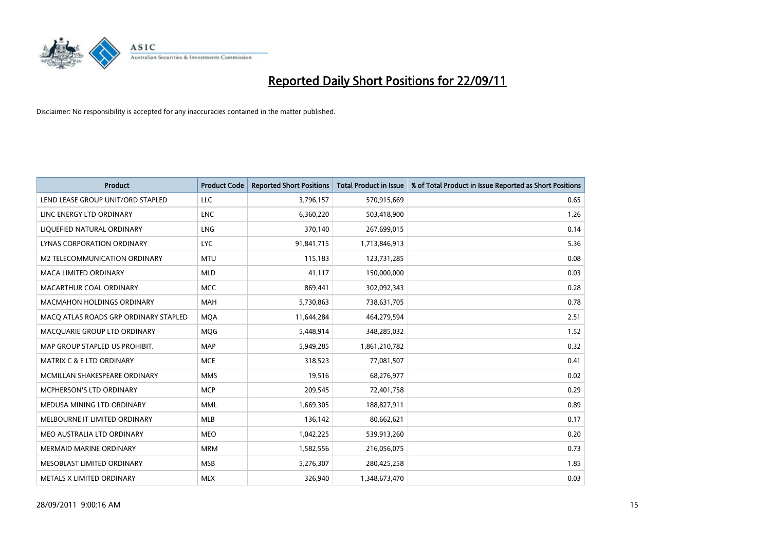

| <b>Product</b>                        | <b>Product Code</b> | <b>Reported Short Positions</b> | <b>Total Product in Issue</b> | % of Total Product in Issue Reported as Short Positions |
|---------------------------------------|---------------------|---------------------------------|-------------------------------|---------------------------------------------------------|
| LEND LEASE GROUP UNIT/ORD STAPLED     | LLC                 | 3,796,157                       | 570,915,669                   | 0.65                                                    |
| LINC ENERGY LTD ORDINARY              | <b>LNC</b>          | 6,360,220                       | 503,418,900                   | 1.26                                                    |
| LIQUEFIED NATURAL ORDINARY            | <b>LNG</b>          | 370,140                         | 267,699,015                   | 0.14                                                    |
| LYNAS CORPORATION ORDINARY            | <b>LYC</b>          | 91,841,715                      | 1,713,846,913                 | 5.36                                                    |
| M2 TELECOMMUNICATION ORDINARY         | <b>MTU</b>          | 115,183                         | 123,731,285                   | 0.08                                                    |
| <b>MACA LIMITED ORDINARY</b>          | <b>MLD</b>          | 41,117                          | 150,000,000                   | 0.03                                                    |
| MACARTHUR COAL ORDINARY               | <b>MCC</b>          | 869.441                         | 302,092,343                   | 0.28                                                    |
| <b>MACMAHON HOLDINGS ORDINARY</b>     | <b>MAH</b>          | 5,730,863                       | 738,631,705                   | 0.78                                                    |
| MACQ ATLAS ROADS GRP ORDINARY STAPLED | <b>MOA</b>          | 11,644,284                      | 464,279,594                   | 2.51                                                    |
| MACQUARIE GROUP LTD ORDINARY          | <b>MOG</b>          | 5,448,914                       | 348,285,032                   | 1.52                                                    |
| MAP GROUP STAPLED US PROHIBIT.        | <b>MAP</b>          | 5,949,285                       | 1,861,210,782                 | 0.32                                                    |
| <b>MATRIX C &amp; E LTD ORDINARY</b>  | <b>MCE</b>          | 318,523                         | 77,081,507                    | 0.41                                                    |
| MCMILLAN SHAKESPEARE ORDINARY         | <b>MMS</b>          | 19,516                          | 68,276,977                    | 0.02                                                    |
| <b>MCPHERSON'S LTD ORDINARY</b>       | <b>MCP</b>          | 209,545                         | 72,401,758                    | 0.29                                                    |
| MEDUSA MINING LTD ORDINARY            | <b>MML</b>          | 1,669,305                       | 188,827,911                   | 0.89                                                    |
| MELBOURNE IT LIMITED ORDINARY         | <b>MLB</b>          | 136,142                         | 80,662,621                    | 0.17                                                    |
| MEO AUSTRALIA LTD ORDINARY            | <b>MEO</b>          | 1,042,225                       | 539,913,260                   | 0.20                                                    |
| <b>MERMAID MARINE ORDINARY</b>        | <b>MRM</b>          | 1,582,556                       | 216,056,075                   | 0.73                                                    |
| MESOBLAST LIMITED ORDINARY            | <b>MSB</b>          | 5,276,307                       | 280,425,258                   | 1.85                                                    |
| METALS X LIMITED ORDINARY             | <b>MLX</b>          | 326.940                         | 1,348,673,470                 | 0.03                                                    |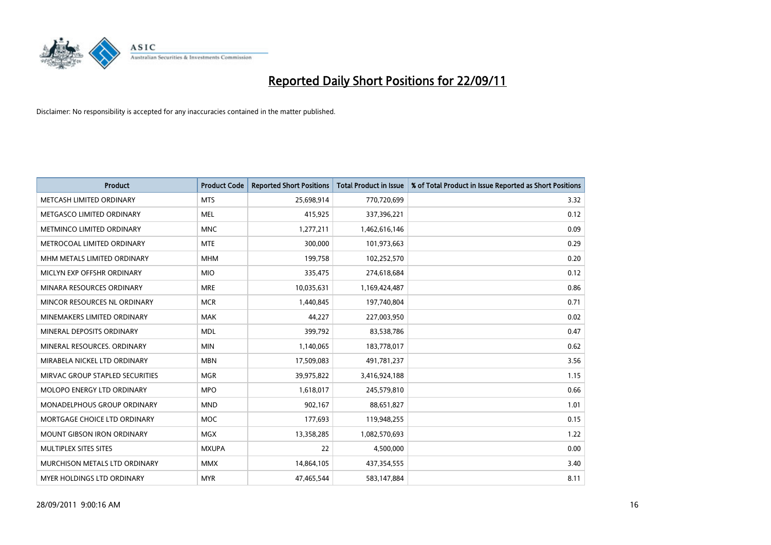

| <b>Product</b>                     | <b>Product Code</b> | <b>Reported Short Positions</b> | <b>Total Product in Issue</b> | % of Total Product in Issue Reported as Short Positions |
|------------------------------------|---------------------|---------------------------------|-------------------------------|---------------------------------------------------------|
| METCASH LIMITED ORDINARY           | <b>MTS</b>          | 25,698,914                      | 770,720,699                   | 3.32                                                    |
| METGASCO LIMITED ORDINARY          | <b>MEL</b>          | 415,925                         | 337,396,221                   | 0.12                                                    |
| METMINCO LIMITED ORDINARY          | <b>MNC</b>          | 1,277,211                       | 1,462,616,146                 | 0.09                                                    |
| METROCOAL LIMITED ORDINARY         | <b>MTE</b>          | 300,000                         | 101,973,663                   | 0.29                                                    |
| MHM METALS LIMITED ORDINARY        | <b>MHM</b>          | 199,758                         | 102,252,570                   | 0.20                                                    |
| MICLYN EXP OFFSHR ORDINARY         | <b>MIO</b>          | 335,475                         | 274,618,684                   | 0.12                                                    |
| MINARA RESOURCES ORDINARY          | <b>MRE</b>          | 10,035,631                      | 1,169,424,487                 | 0.86                                                    |
| MINCOR RESOURCES NL ORDINARY       | <b>MCR</b>          | 1,440,845                       | 197,740,804                   | 0.71                                                    |
| MINEMAKERS LIMITED ORDINARY        | <b>MAK</b>          | 44,227                          | 227,003,950                   | 0.02                                                    |
| MINERAL DEPOSITS ORDINARY          | <b>MDL</b>          | 399,792                         | 83,538,786                    | 0.47                                                    |
| MINERAL RESOURCES. ORDINARY        | <b>MIN</b>          | 1,140,065                       | 183,778,017                   | 0.62                                                    |
| MIRABELA NICKEL LTD ORDINARY       | <b>MBN</b>          | 17,509,083                      | 491,781,237                   | 3.56                                                    |
| MIRVAC GROUP STAPLED SECURITIES    | <b>MGR</b>          | 39,975,822                      | 3,416,924,188                 | 1.15                                                    |
| <b>MOLOPO ENERGY LTD ORDINARY</b>  | <b>MPO</b>          | 1,618,017                       | 245,579,810                   | 0.66                                                    |
| <b>MONADELPHOUS GROUP ORDINARY</b> | <b>MND</b>          | 902,167                         | 88,651,827                    | 1.01                                                    |
| MORTGAGE CHOICE LTD ORDINARY       | <b>MOC</b>          | 177,693                         | 119,948,255                   | 0.15                                                    |
| MOUNT GIBSON IRON ORDINARY         | <b>MGX</b>          | 13,358,285                      | 1,082,570,693                 | 1.22                                                    |
| MULTIPLEX SITES SITES              | <b>MXUPA</b>        | 22                              | 4,500,000                     | 0.00                                                    |
| MURCHISON METALS LTD ORDINARY      | <b>MMX</b>          | 14,864,105                      | 437,354,555                   | 3.40                                                    |
| MYER HOLDINGS LTD ORDINARY         | <b>MYR</b>          | 47,465,544                      | 583,147,884                   | 8.11                                                    |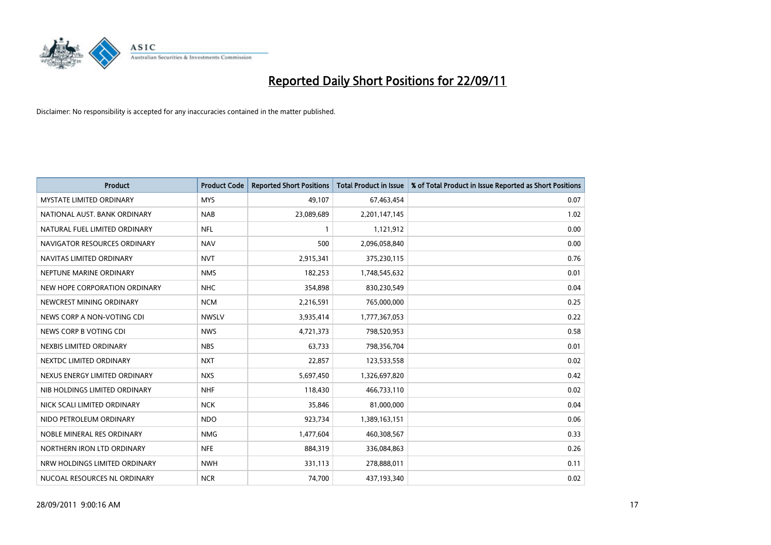

| <b>Product</b>                  | <b>Product Code</b> | <b>Reported Short Positions</b> | <b>Total Product in Issue</b> | % of Total Product in Issue Reported as Short Positions |
|---------------------------------|---------------------|---------------------------------|-------------------------------|---------------------------------------------------------|
| <b>MYSTATE LIMITED ORDINARY</b> | <b>MYS</b>          | 49,107                          | 67,463,454                    | 0.07                                                    |
| NATIONAL AUST. BANK ORDINARY    | <b>NAB</b>          | 23,089,689                      | 2,201,147,145                 | 1.02                                                    |
| NATURAL FUEL LIMITED ORDINARY   | <b>NFL</b>          |                                 | 1,121,912                     | 0.00                                                    |
| NAVIGATOR RESOURCES ORDINARY    | <b>NAV</b>          | 500                             | 2,096,058,840                 | 0.00                                                    |
| NAVITAS LIMITED ORDINARY        | <b>NVT</b>          | 2,915,341                       | 375,230,115                   | 0.76                                                    |
| NEPTUNE MARINE ORDINARY         | <b>NMS</b>          | 182,253                         | 1,748,545,632                 | 0.01                                                    |
| NEW HOPE CORPORATION ORDINARY   | <b>NHC</b>          | 354,898                         | 830,230,549                   | 0.04                                                    |
| NEWCREST MINING ORDINARY        | <b>NCM</b>          | 2,216,591                       | 765,000,000                   | 0.25                                                    |
| NEWS CORP A NON-VOTING CDI      | <b>NWSLV</b>        | 3,935,414                       | 1,777,367,053                 | 0.22                                                    |
| NEWS CORP B VOTING CDI          | <b>NWS</b>          | 4,721,373                       | 798,520,953                   | 0.58                                                    |
| NEXBIS LIMITED ORDINARY         | <b>NBS</b>          | 63,733                          | 798,356,704                   | 0.01                                                    |
| NEXTDC LIMITED ORDINARY         | <b>NXT</b>          | 22,857                          | 123,533,558                   | 0.02                                                    |
| NEXUS ENERGY LIMITED ORDINARY   | <b>NXS</b>          | 5,697,450                       | 1,326,697,820                 | 0.42                                                    |
| NIB HOLDINGS LIMITED ORDINARY   | <b>NHF</b>          | 118,430                         | 466,733,110                   | 0.02                                                    |
| NICK SCALI LIMITED ORDINARY     | <b>NCK</b>          | 35,846                          | 81,000,000                    | 0.04                                                    |
| NIDO PETROLEUM ORDINARY         | <b>NDO</b>          | 923,734                         | 1,389,163,151                 | 0.06                                                    |
| NOBLE MINERAL RES ORDINARY      | <b>NMG</b>          | 1,477,604                       | 460,308,567                   | 0.33                                                    |
| NORTHERN IRON LTD ORDINARY      | <b>NFE</b>          | 884,319                         | 336,084,863                   | 0.26                                                    |
| NRW HOLDINGS LIMITED ORDINARY   | <b>NWH</b>          | 331,113                         | 278,888,011                   | 0.11                                                    |
| NUCOAL RESOURCES NL ORDINARY    | <b>NCR</b>          | 74,700                          | 437,193,340                   | 0.02                                                    |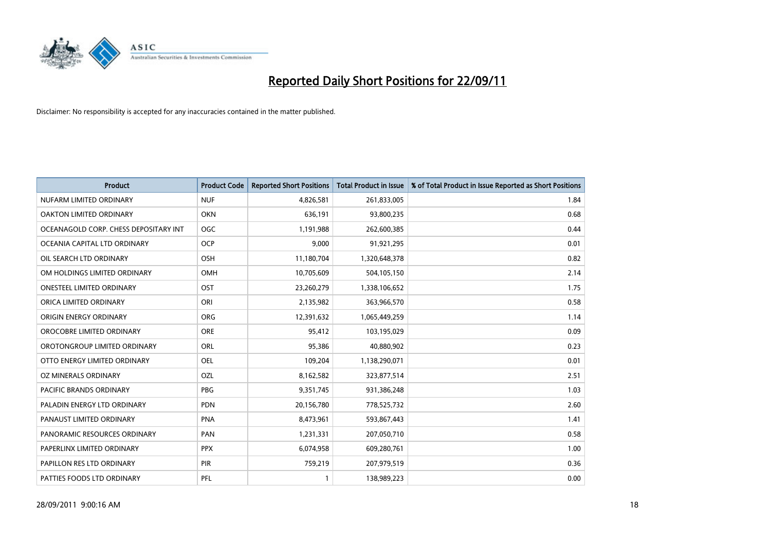

| <b>Product</b>                        | <b>Product Code</b> | <b>Reported Short Positions</b> | <b>Total Product in Issue</b> | % of Total Product in Issue Reported as Short Positions |
|---------------------------------------|---------------------|---------------------------------|-------------------------------|---------------------------------------------------------|
| NUFARM LIMITED ORDINARY               | <b>NUF</b>          | 4,826,581                       | 261,833,005                   | 1.84                                                    |
| OAKTON LIMITED ORDINARY               | <b>OKN</b>          | 636,191                         | 93,800,235                    | 0.68                                                    |
| OCEANAGOLD CORP. CHESS DEPOSITARY INT | <b>OGC</b>          | 1,191,988                       | 262,600,385                   | 0.44                                                    |
| OCEANIA CAPITAL LTD ORDINARY          | <b>OCP</b>          | 9,000                           | 91,921,295                    | 0.01                                                    |
| OIL SEARCH LTD ORDINARY               | <b>OSH</b>          | 11,180,704                      | 1,320,648,378                 | 0.82                                                    |
| OM HOLDINGS LIMITED ORDINARY          | OMH                 | 10,705,609                      | 504,105,150                   | 2.14                                                    |
| ONESTEEL LIMITED ORDINARY             | OST                 | 23,260,279                      | 1,338,106,652                 | 1.75                                                    |
| ORICA LIMITED ORDINARY                | ORI                 | 2,135,982                       | 363,966,570                   | 0.58                                                    |
| ORIGIN ENERGY ORDINARY                | <b>ORG</b>          | 12,391,632                      | 1,065,449,259                 | 1.14                                                    |
| OROCOBRE LIMITED ORDINARY             | <b>ORE</b>          | 95,412                          | 103,195,029                   | 0.09                                                    |
| OROTONGROUP LIMITED ORDINARY          | ORL                 | 95,386                          | 40,880,902                    | 0.23                                                    |
| OTTO ENERGY LIMITED ORDINARY          | OEL                 | 109,204                         | 1,138,290,071                 | 0.01                                                    |
| OZ MINERALS ORDINARY                  | OZL                 | 8,162,582                       | 323,877,514                   | 2.51                                                    |
| <b>PACIFIC BRANDS ORDINARY</b>        | <b>PBG</b>          | 9,351,745                       | 931,386,248                   | 1.03                                                    |
| PALADIN ENERGY LTD ORDINARY           | <b>PDN</b>          | 20,156,780                      | 778,525,732                   | 2.60                                                    |
| PANAUST LIMITED ORDINARY              | <b>PNA</b>          | 8,473,961                       | 593,867,443                   | 1.41                                                    |
| PANORAMIC RESOURCES ORDINARY          | PAN                 | 1,231,331                       | 207,050,710                   | 0.58                                                    |
| PAPERLINX LIMITED ORDINARY            | <b>PPX</b>          | 6,074,958                       | 609,280,761                   | 1.00                                                    |
| PAPILLON RES LTD ORDINARY             | <b>PIR</b>          | 759,219                         | 207,979,519                   | 0.36                                                    |
| PATTIES FOODS LTD ORDINARY            | PFL                 |                                 | 138,989,223                   | 0.00                                                    |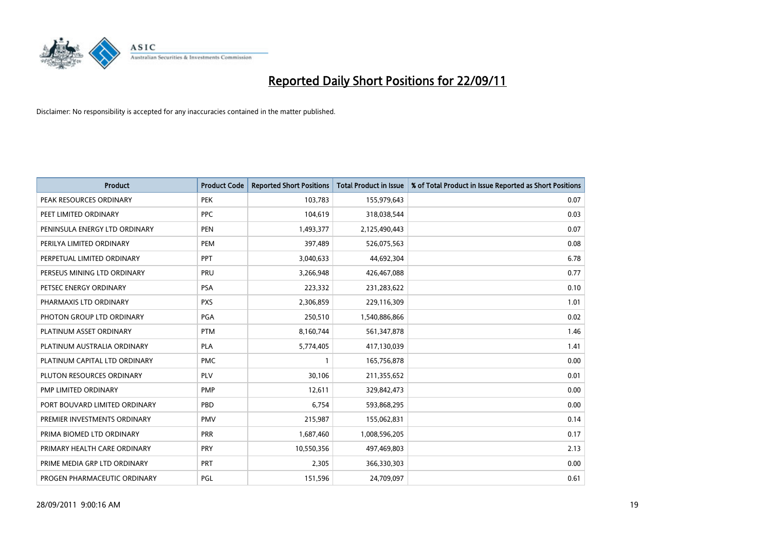

| <b>Product</b>                | <b>Product Code</b> | <b>Reported Short Positions</b> | <b>Total Product in Issue</b> | % of Total Product in Issue Reported as Short Positions |
|-------------------------------|---------------------|---------------------------------|-------------------------------|---------------------------------------------------------|
| PEAK RESOURCES ORDINARY       | <b>PEK</b>          | 103,783                         | 155,979,643                   | 0.07                                                    |
| PEET LIMITED ORDINARY         | <b>PPC</b>          | 104,619                         | 318,038,544                   | 0.03                                                    |
| PENINSULA ENERGY LTD ORDINARY | <b>PEN</b>          | 1,493,377                       | 2,125,490,443                 | 0.07                                                    |
| PERILYA LIMITED ORDINARY      | PEM                 | 397,489                         | 526,075,563                   | 0.08                                                    |
| PERPETUAL LIMITED ORDINARY    | <b>PPT</b>          | 3,040,633                       | 44,692,304                    | 6.78                                                    |
| PERSEUS MINING LTD ORDINARY   | PRU                 | 3,266,948                       | 426,467,088                   | 0.77                                                    |
| PETSEC ENERGY ORDINARY        | <b>PSA</b>          | 223,332                         | 231,283,622                   | 0.10                                                    |
| PHARMAXIS LTD ORDINARY        | <b>PXS</b>          | 2,306,859                       | 229,116,309                   | 1.01                                                    |
| PHOTON GROUP LTD ORDINARY     | <b>PGA</b>          | 250,510                         | 1,540,886,866                 | 0.02                                                    |
| PLATINUM ASSET ORDINARY       | <b>PTM</b>          | 8,160,744                       | 561,347,878                   | 1.46                                                    |
| PLATINUM AUSTRALIA ORDINARY   | <b>PLA</b>          | 5,774,405                       | 417,130,039                   | 1.41                                                    |
| PLATINUM CAPITAL LTD ORDINARY | <b>PMC</b>          |                                 | 165,756,878                   | 0.00                                                    |
| PLUTON RESOURCES ORDINARY     | <b>PLV</b>          | 30,106                          | 211,355,652                   | 0.01                                                    |
| PMP LIMITED ORDINARY          | <b>PMP</b>          | 12,611                          | 329,842,473                   | 0.00                                                    |
| PORT BOUVARD LIMITED ORDINARY | PBD                 | 6,754                           | 593,868,295                   | 0.00                                                    |
| PREMIER INVESTMENTS ORDINARY  | <b>PMV</b>          | 215,987                         | 155,062,831                   | 0.14                                                    |
| PRIMA BIOMED LTD ORDINARY     | <b>PRR</b>          | 1,687,460                       | 1,008,596,205                 | 0.17                                                    |
| PRIMARY HEALTH CARE ORDINARY  | <b>PRY</b>          | 10,550,356                      | 497,469,803                   | 2.13                                                    |
| PRIME MEDIA GRP LTD ORDINARY  | <b>PRT</b>          | 2,305                           | 366,330,303                   | 0.00                                                    |
| PROGEN PHARMACEUTIC ORDINARY  | PGL                 | 151,596                         | 24,709,097                    | 0.61                                                    |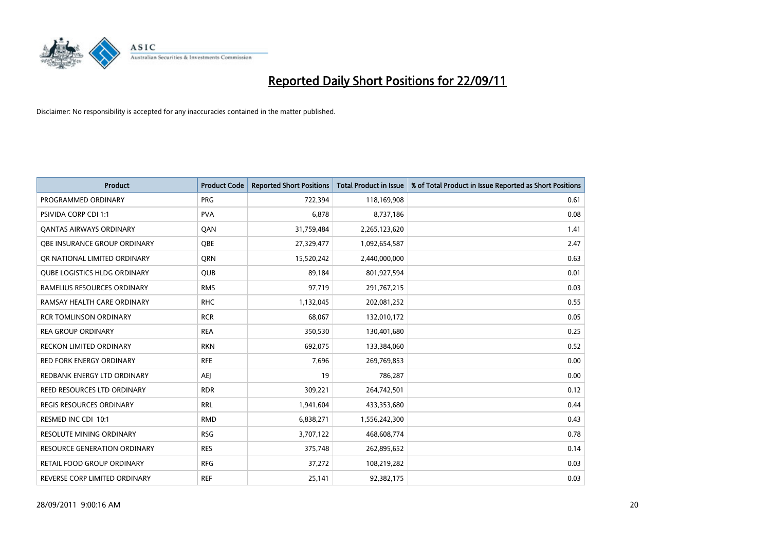

| <b>Product</b>                      | <b>Product Code</b> | <b>Reported Short Positions</b> | <b>Total Product in Issue</b> | % of Total Product in Issue Reported as Short Positions |
|-------------------------------------|---------------------|---------------------------------|-------------------------------|---------------------------------------------------------|
| PROGRAMMED ORDINARY                 | <b>PRG</b>          | 722,394                         | 118,169,908                   | 0.61                                                    |
| <b>PSIVIDA CORP CDI 1:1</b>         | <b>PVA</b>          | 6,878                           | 8,737,186                     | 0.08                                                    |
| <b>QANTAS AIRWAYS ORDINARY</b>      | QAN                 | 31,759,484                      | 2,265,123,620                 | 1.41                                                    |
| <b>OBE INSURANCE GROUP ORDINARY</b> | <b>OBE</b>          | 27,329,477                      | 1,092,654,587                 | 2.47                                                    |
| OR NATIONAL LIMITED ORDINARY        | <b>ORN</b>          | 15,520,242                      | 2,440,000,000                 | 0.63                                                    |
| <b>QUBE LOGISTICS HLDG ORDINARY</b> | <b>QUB</b>          | 89,184                          | 801,927,594                   | 0.01                                                    |
| RAMELIUS RESOURCES ORDINARY         | <b>RMS</b>          | 97,719                          | 291,767,215                   | 0.03                                                    |
| RAMSAY HEALTH CARE ORDINARY         | <b>RHC</b>          | 1,132,045                       | 202,081,252                   | 0.55                                                    |
| <b>RCR TOMLINSON ORDINARY</b>       | <b>RCR</b>          | 68,067                          | 132,010,172                   | 0.05                                                    |
| <b>REA GROUP ORDINARY</b>           | <b>REA</b>          | 350,530                         | 130,401,680                   | 0.25                                                    |
| <b>RECKON LIMITED ORDINARY</b>      | <b>RKN</b>          | 692,075                         | 133,384,060                   | 0.52                                                    |
| <b>RED FORK ENERGY ORDINARY</b>     | <b>RFE</b>          | 7,696                           | 269,769,853                   | 0.00                                                    |
| REDBANK ENERGY LTD ORDINARY         | AEI                 | 19                              | 786,287                       | 0.00                                                    |
| REED RESOURCES LTD ORDINARY         | <b>RDR</b>          | 309,221                         | 264,742,501                   | 0.12                                                    |
| <b>REGIS RESOURCES ORDINARY</b>     | <b>RRL</b>          | 1,941,604                       | 433,353,680                   | 0.44                                                    |
| RESMED INC CDI 10:1                 | <b>RMD</b>          | 6,838,271                       | 1,556,242,300                 | 0.43                                                    |
| RESOLUTE MINING ORDINARY            | <b>RSG</b>          | 3,707,122                       | 468,608,774                   | 0.78                                                    |
| RESOURCE GENERATION ORDINARY        | <b>RES</b>          | 375,748                         | 262,895,652                   | 0.14                                                    |
| RETAIL FOOD GROUP ORDINARY          | <b>RFG</b>          | 37,272                          | 108,219,282                   | 0.03                                                    |
| REVERSE CORP LIMITED ORDINARY       | <b>REF</b>          | 25,141                          | 92,382,175                    | 0.03                                                    |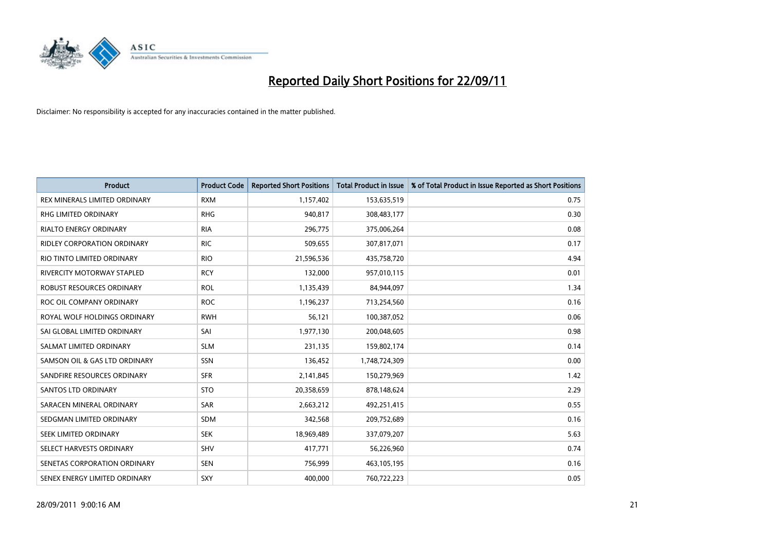

| <b>Product</b>                    | <b>Product Code</b> | <b>Reported Short Positions</b> | <b>Total Product in Issue</b> | % of Total Product in Issue Reported as Short Positions |
|-----------------------------------|---------------------|---------------------------------|-------------------------------|---------------------------------------------------------|
| REX MINERALS LIMITED ORDINARY     | <b>RXM</b>          | 1,157,402                       | 153,635,519                   | 0.75                                                    |
| RHG LIMITED ORDINARY              | <b>RHG</b>          | 940,817                         | 308,483,177                   | 0.30                                                    |
| <b>RIALTO ENERGY ORDINARY</b>     | <b>RIA</b>          | 296,775                         | 375,006,264                   | 0.08                                                    |
| RIDLEY CORPORATION ORDINARY       | <b>RIC</b>          | 509,655                         | 307,817,071                   | 0.17                                                    |
| RIO TINTO LIMITED ORDINARY        | <b>RIO</b>          | 21,596,536                      | 435,758,720                   | 4.94                                                    |
| <b>RIVERCITY MOTORWAY STAPLED</b> | <b>RCY</b>          | 132,000                         | 957,010,115                   | 0.01                                                    |
| ROBUST RESOURCES ORDINARY         | <b>ROL</b>          | 1,135,439                       | 84,944,097                    | 1.34                                                    |
| ROC OIL COMPANY ORDINARY          | <b>ROC</b>          | 1,196,237                       | 713,254,560                   | 0.16                                                    |
| ROYAL WOLF HOLDINGS ORDINARY      | <b>RWH</b>          | 56,121                          | 100,387,052                   | 0.06                                                    |
| SAI GLOBAL LIMITED ORDINARY       | SAI                 | 1,977,130                       | 200,048,605                   | 0.98                                                    |
| SALMAT LIMITED ORDINARY           | <b>SLM</b>          | 231,135                         | 159,802,174                   | 0.14                                                    |
| SAMSON OIL & GAS LTD ORDINARY     | SSN                 | 136,452                         | 1,748,724,309                 | 0.00                                                    |
| SANDFIRE RESOURCES ORDINARY       | <b>SFR</b>          | 2,141,845                       | 150,279,969                   | 1.42                                                    |
| <b>SANTOS LTD ORDINARY</b>        | <b>STO</b>          | 20,358,659                      | 878,148,624                   | 2.29                                                    |
| SARACEN MINERAL ORDINARY          | SAR                 | 2,663,212                       | 492,251,415                   | 0.55                                                    |
| SEDGMAN LIMITED ORDINARY          | <b>SDM</b>          | 342,568                         | 209,752,689                   | 0.16                                                    |
| SEEK LIMITED ORDINARY             | <b>SEK</b>          | 18,969,489                      | 337,079,207                   | 5.63                                                    |
| SELECT HARVESTS ORDINARY          | SHV                 | 417,771                         | 56,226,960                    | 0.74                                                    |
| SENETAS CORPORATION ORDINARY      | <b>SEN</b>          | 756,999                         | 463,105,195                   | 0.16                                                    |
| SENEX ENERGY LIMITED ORDINARY     | SXY                 | 400,000                         | 760,722,223                   | 0.05                                                    |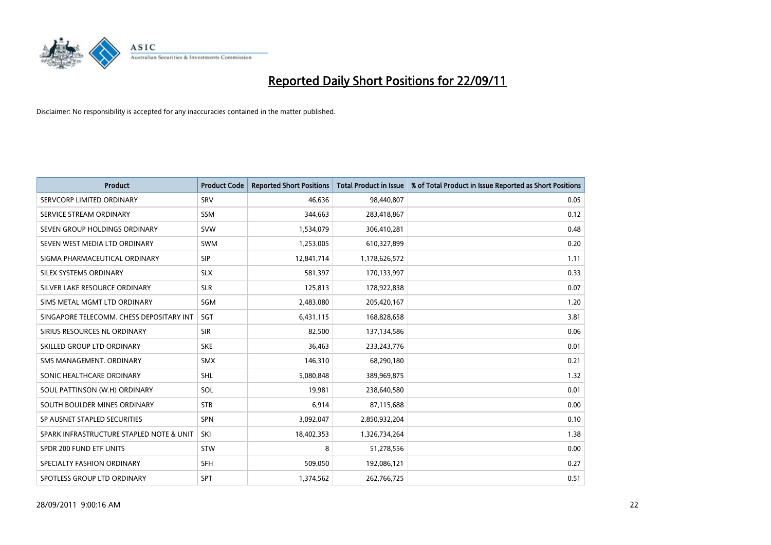

| <b>Product</b>                           | <b>Product Code</b> | <b>Reported Short Positions</b> | <b>Total Product in Issue</b> | % of Total Product in Issue Reported as Short Positions |
|------------------------------------------|---------------------|---------------------------------|-------------------------------|---------------------------------------------------------|
| SERVCORP LIMITED ORDINARY                | SRV                 | 46.636                          | 98,440,807                    | 0.05                                                    |
| SERVICE STREAM ORDINARY                  | <b>SSM</b>          | 344,663                         | 283,418,867                   | 0.12                                                    |
| SEVEN GROUP HOLDINGS ORDINARY            | <b>SVW</b>          | 1,534,079                       | 306,410,281                   | 0.48                                                    |
| SEVEN WEST MEDIA LTD ORDINARY            | <b>SWM</b>          | 1,253,005                       | 610,327,899                   | 0.20                                                    |
| SIGMA PHARMACEUTICAL ORDINARY            | <b>SIP</b>          | 12,841,714                      | 1,178,626,572                 | 1.11                                                    |
| SILEX SYSTEMS ORDINARY                   | <b>SLX</b>          | 581,397                         | 170,133,997                   | 0.33                                                    |
| SILVER LAKE RESOURCE ORDINARY            | <b>SLR</b>          | 125,813                         | 178,922,838                   | 0.07                                                    |
| SIMS METAL MGMT LTD ORDINARY             | SGM                 | 2,483,080                       | 205,420,167                   | 1.20                                                    |
| SINGAPORE TELECOMM. CHESS DEPOSITARY INT | <b>SGT</b>          | 6,431,115                       | 168,828,658                   | 3.81                                                    |
| SIRIUS RESOURCES NL ORDINARY             | <b>SIR</b>          | 82,500                          | 137,134,586                   | 0.06                                                    |
| SKILLED GROUP LTD ORDINARY               | <b>SKE</b>          | 36,463                          | 233, 243, 776                 | 0.01                                                    |
| SMS MANAGEMENT, ORDINARY                 | <b>SMX</b>          | 146,310                         | 68,290,180                    | 0.21                                                    |
| SONIC HEALTHCARE ORDINARY                | <b>SHL</b>          | 5,080,848                       | 389,969,875                   | 1.32                                                    |
| SOUL PATTINSON (W.H) ORDINARY            | SOL                 | 19,981                          | 238,640,580                   | 0.01                                                    |
| SOUTH BOULDER MINES ORDINARY             | <b>STB</b>          | 6,914                           | 87,115,688                    | 0.00                                                    |
| SP AUSNET STAPLED SECURITIES             | <b>SPN</b>          | 3,092,047                       | 2,850,932,204                 | 0.10                                                    |
| SPARK INFRASTRUCTURE STAPLED NOTE & UNIT | SKI                 | 18,402,353                      | 1,326,734,264                 | 1.38                                                    |
| SPDR 200 FUND ETF UNITS                  | <b>STW</b>          | 8                               | 51,278,556                    | 0.00                                                    |
| SPECIALTY FASHION ORDINARY               | <b>SFH</b>          | 509,050                         | 192,086,121                   | 0.27                                                    |
| SPOTLESS GROUP LTD ORDINARY              | <b>SPT</b>          | 1,374,562                       | 262,766,725                   | 0.51                                                    |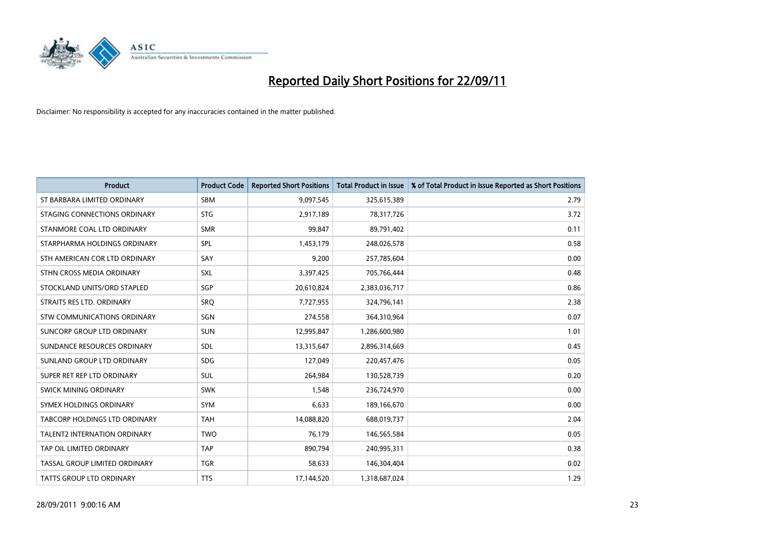

| <b>Product</b>                | <b>Product Code</b> | <b>Reported Short Positions</b> | <b>Total Product in Issue</b> | % of Total Product in Issue Reported as Short Positions |
|-------------------------------|---------------------|---------------------------------|-------------------------------|---------------------------------------------------------|
| ST BARBARA LIMITED ORDINARY   | <b>SBM</b>          | 9,097,545                       | 325,615,389                   | 2.79                                                    |
| STAGING CONNECTIONS ORDINARY  | <b>STG</b>          | 2,917,189                       | 78,317,726                    | 3.72                                                    |
| STANMORE COAL LTD ORDINARY    | <b>SMR</b>          | 99.847                          | 89,791,402                    | 0.11                                                    |
| STARPHARMA HOLDINGS ORDINARY  | SPL                 | 1,453,179                       | 248,026,578                   | 0.58                                                    |
| STH AMERICAN COR LTD ORDINARY | SAY                 | 9,200                           | 257,785,604                   | 0.00                                                    |
| STHN CROSS MEDIA ORDINARY     | <b>SXL</b>          | 3,397,425                       | 705,766,444                   | 0.48                                                    |
| STOCKLAND UNITS/ORD STAPLED   | SGP                 | 20,610,824                      | 2,383,036,717                 | 0.86                                                    |
| STRAITS RES LTD. ORDINARY     | SRO                 | 7,727,955                       | 324,796,141                   | 2.38                                                    |
| STW COMMUNICATIONS ORDINARY   | SGN                 | 274,558                         | 364,310,964                   | 0.07                                                    |
| SUNCORP GROUP LTD ORDINARY    | <b>SUN</b>          | 12,995,847                      | 1,286,600,980                 | 1.01                                                    |
| SUNDANCE RESOURCES ORDINARY   | SDL                 | 13,315,647                      | 2,896,314,669                 | 0.45                                                    |
| SUNLAND GROUP LTD ORDINARY    | <b>SDG</b>          | 127,049                         | 220,457,476                   | 0.05                                                    |
| SUPER RET REP LTD ORDINARY    | <b>SUL</b>          | 264,984                         | 130,528,739                   | 0.20                                                    |
| SWICK MINING ORDINARY         | <b>SWK</b>          | 1,548                           | 236,724,970                   | 0.00                                                    |
| SYMEX HOLDINGS ORDINARY       | <b>SYM</b>          | 6,633                           | 189,166,670                   | 0.00                                                    |
| TABCORP HOLDINGS LTD ORDINARY | <b>TAH</b>          | 14,088,820                      | 688,019,737                   | 2.04                                                    |
| TALENT2 INTERNATION ORDINARY  | <b>TWO</b>          | 76,179                          | 146,565,584                   | 0.05                                                    |
| TAP OIL LIMITED ORDINARY      | <b>TAP</b>          | 890,794                         | 240,995,311                   | 0.38                                                    |
| TASSAL GROUP LIMITED ORDINARY | <b>TGR</b>          | 58,633                          | 146,304,404                   | 0.02                                                    |
| TATTS GROUP LTD ORDINARY      | <b>TTS</b>          | 17,144,520                      | 1,318,687,024                 | 1.29                                                    |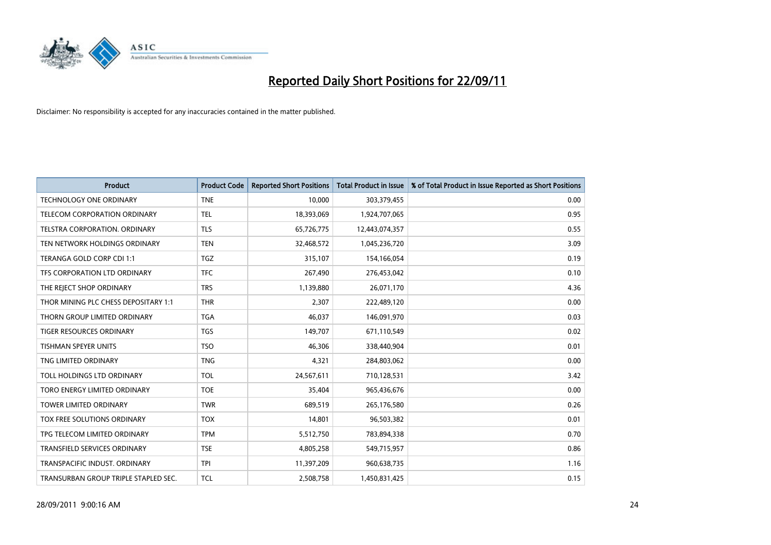

| <b>Product</b>                       | <b>Product Code</b> | <b>Reported Short Positions</b> | <b>Total Product in Issue</b> | % of Total Product in Issue Reported as Short Positions |
|--------------------------------------|---------------------|---------------------------------|-------------------------------|---------------------------------------------------------|
| <b>TECHNOLOGY ONE ORDINARY</b>       | <b>TNE</b>          | 10,000                          | 303,379,455                   | 0.00                                                    |
| TELECOM CORPORATION ORDINARY         | <b>TEL</b>          | 18,393,069                      | 1,924,707,065                 | 0.95                                                    |
| TELSTRA CORPORATION, ORDINARY        | <b>TLS</b>          | 65,726,775                      | 12,443,074,357                | 0.55                                                    |
| TEN NETWORK HOLDINGS ORDINARY        | <b>TEN</b>          | 32,468,572                      | 1,045,236,720                 | 3.09                                                    |
| TERANGA GOLD CORP CDI 1:1            | <b>TGZ</b>          | 315,107                         | 154,166,054                   | 0.19                                                    |
| TFS CORPORATION LTD ORDINARY         | <b>TFC</b>          | 267,490                         | 276,453,042                   | 0.10                                                    |
| THE REJECT SHOP ORDINARY             | <b>TRS</b>          | 1,139,880                       | 26,071,170                    | 4.36                                                    |
| THOR MINING PLC CHESS DEPOSITARY 1:1 | <b>THR</b>          | 2,307                           | 222,489,120                   | 0.00                                                    |
| THORN GROUP LIMITED ORDINARY         | <b>TGA</b>          | 46,037                          | 146,091,970                   | 0.03                                                    |
| <b>TIGER RESOURCES ORDINARY</b>      | <b>TGS</b>          | 149,707                         | 671,110,549                   | 0.02                                                    |
| TISHMAN SPEYER UNITS                 | <b>TSO</b>          | 46,306                          | 338,440,904                   | 0.01                                                    |
| TNG LIMITED ORDINARY                 | <b>TNG</b>          | 4,321                           | 284,803,062                   | 0.00                                                    |
| TOLL HOLDINGS LTD ORDINARY           | <b>TOL</b>          | 24,567,611                      | 710,128,531                   | 3.42                                                    |
| TORO ENERGY LIMITED ORDINARY         | <b>TOE</b>          | 35,404                          | 965,436,676                   | 0.00                                                    |
| <b>TOWER LIMITED ORDINARY</b>        | <b>TWR</b>          | 689,519                         | 265,176,580                   | 0.26                                                    |
| TOX FREE SOLUTIONS ORDINARY          | <b>TOX</b>          | 14,801                          | 96,503,382                    | 0.01                                                    |
| TPG TELECOM LIMITED ORDINARY         | <b>TPM</b>          | 5,512,750                       | 783,894,338                   | 0.70                                                    |
| TRANSFIELD SERVICES ORDINARY         | <b>TSE</b>          | 4,805,258                       | 549,715,957                   | 0.86                                                    |
| TRANSPACIFIC INDUST, ORDINARY        | <b>TPI</b>          | 11,397,209                      | 960,638,735                   | 1.16                                                    |
| TRANSURBAN GROUP TRIPLE STAPLED SEC. | <b>TCL</b>          | 2,508,758                       | 1,450,831,425                 | 0.15                                                    |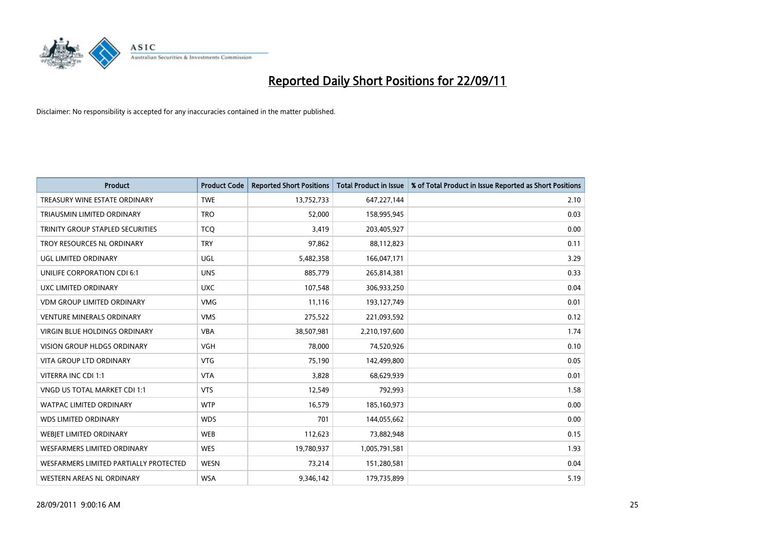

| <b>Product</b>                         | <b>Product Code</b> | <b>Reported Short Positions</b> | <b>Total Product in Issue</b> | % of Total Product in Issue Reported as Short Positions |
|----------------------------------------|---------------------|---------------------------------|-------------------------------|---------------------------------------------------------|
| TREASURY WINE ESTATE ORDINARY          | <b>TWE</b>          | 13,752,733                      | 647,227,144                   | 2.10                                                    |
| TRIAUSMIN LIMITED ORDINARY             | <b>TRO</b>          | 52,000                          | 158,995,945                   | 0.03                                                    |
| TRINITY GROUP STAPLED SECURITIES       | <b>TCO</b>          | 3,419                           | 203,405,927                   | 0.00                                                    |
| TROY RESOURCES NL ORDINARY             | <b>TRY</b>          | 97,862                          | 88,112,823                    | 0.11                                                    |
| UGL LIMITED ORDINARY                   | UGL                 | 5,482,358                       | 166,047,171                   | 3.29                                                    |
| UNILIFE CORPORATION CDI 6:1            | <b>UNS</b>          | 885,779                         | 265,814,381                   | 0.33                                                    |
| UXC LIMITED ORDINARY                   | <b>UXC</b>          | 107,548                         | 306,933,250                   | 0.04                                                    |
| <b>VDM GROUP LIMITED ORDINARY</b>      | <b>VMG</b>          | 11,116                          | 193,127,749                   | 0.01                                                    |
| <b>VENTURE MINERALS ORDINARY</b>       | <b>VMS</b>          | 275,522                         | 221,093,592                   | 0.12                                                    |
| <b>VIRGIN BLUE HOLDINGS ORDINARY</b>   | <b>VBA</b>          | 38,507,981                      | 2,210,197,600                 | 1.74                                                    |
| VISION GROUP HLDGS ORDINARY            | <b>VGH</b>          | 78,000                          | 74,520,926                    | 0.10                                                    |
| <b>VITA GROUP LTD ORDINARY</b>         | <b>VTG</b>          | 75,190                          | 142,499,800                   | 0.05                                                    |
| VITERRA INC CDI 1:1                    | <b>VTA</b>          | 3,828                           | 68,629,939                    | 0.01                                                    |
| VNGD US TOTAL MARKET CDI 1:1           | <b>VTS</b>          | 12,549                          | 792,993                       | 1.58                                                    |
| <b>WATPAC LIMITED ORDINARY</b>         | <b>WTP</b>          | 16,579                          | 185,160,973                   | 0.00                                                    |
| <b>WDS LIMITED ORDINARY</b>            | <b>WDS</b>          | 701                             | 144,055,662                   | 0.00                                                    |
| WEBIET LIMITED ORDINARY                | <b>WEB</b>          | 112,623                         | 73,882,948                    | 0.15                                                    |
| <b>WESFARMERS LIMITED ORDINARY</b>     | <b>WES</b>          | 19,780,937                      | 1,005,791,581                 | 1.93                                                    |
| WESFARMERS LIMITED PARTIALLY PROTECTED | <b>WESN</b>         | 73,214                          | 151,280,581                   | 0.04                                                    |
| WESTERN AREAS NL ORDINARY              | <b>WSA</b>          | 9,346,142                       | 179,735,899                   | 5.19                                                    |